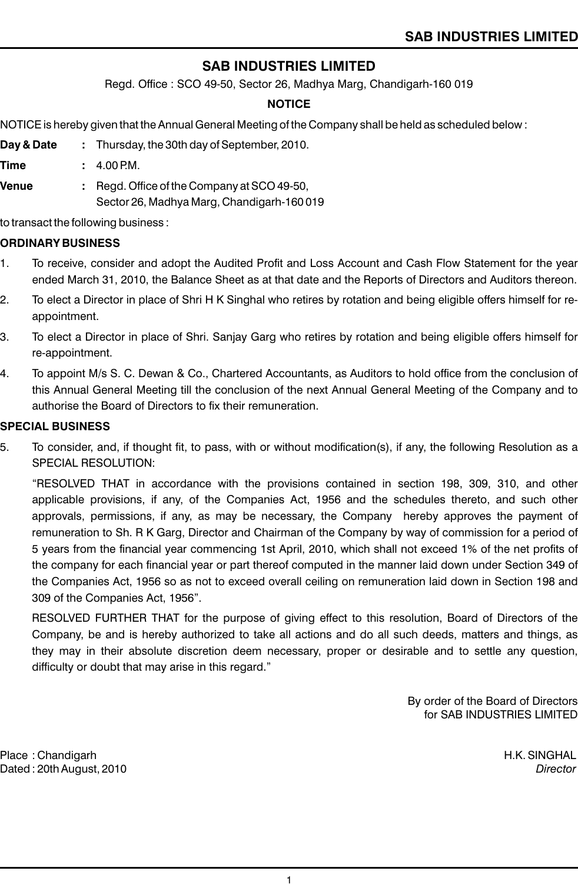Regd. Office : SCO 49-50, Sector 26, Madhya Marg, Chandigarh-160 019

#### **NOTICE**

NOTICE is hereby given that the Annual General Meeting of the Company shall be held as scheduled below :

- **Day & Date :** Thursday, the 30th day of September, 2010.
- **Time :** 4.00 PM.
- **Venue :** Regd. Office of the Company at SCO 49-50, Sector 26, Madhya Marg, Chandigarh-160 019

to transact the following business :

#### **ORDINARY BUSINESS**

- 1. To receive, consider and adopt the Audited Profit and Loss Account and Cash Flow Statement for the year ended March 31, 2010, the Balance Sheet as at that date and the Reports of Directors and Auditors thereon.
- 2. To elect a Director in place of Shri H K Singhal who retires by rotation and being eligible offers himself for reappointment.
- 3. To elect a Director in place of Shri. Sanjay Garg who retires by rotation and being eligible offers himself for re-appointment.
- 4. To appoint M/s S. C. Dewan & Co., Chartered Accountants, as Auditors to hold office from the conclusion of this Annual General Meeting till the conclusion of the next Annual General Meeting of the Company and to authorise the Board of Directors to fix their remuneration.

#### **SPECIAL BUSINESS**

5. To consider, and, if thought fit, to pass, with or without modification(s), if any, the following Resolution as a SPECIAL RESOLUTION:

"RESOLVED THAT in accordance with the provisions contained in section 198, 309, 310, and other applicable provisions, if any, of the Companies Act, 1956 and the schedules thereto, and such other approvals, permissions, if any, as may be necessary, the Company hereby approves the payment of remuneration to Sh. R K Garg, Director and Chairman of the Company by way of commission for a period of 5 years from the financial year commencing 1st April, 2010, which shall not exceed 1% of the net profits of the company for each financial year or part thereof computed in the manner laid down under Section 349 of the Companies Act, 1956 so as not to exceed overall ceiling on remuneration laid down in Section 198 and 309 of the Companies Act, 1956".

RESOLVED FURTHER THAT for the purpose of giving effect to this resolution, Board of Directors of the Company, be and is hereby authorized to take all actions and do all such deeds, matters and things, as they may in their absolute discretion deem necessary, proper or desirable and to settle any question, difficulty or doubt that may arise in this regard."

> By order of the Board of Directors for SAB INDUSTRIES LIMITED

Place : Chandigarh **H.K. SINGHAL** Dated : 20th August, 2010 *Director*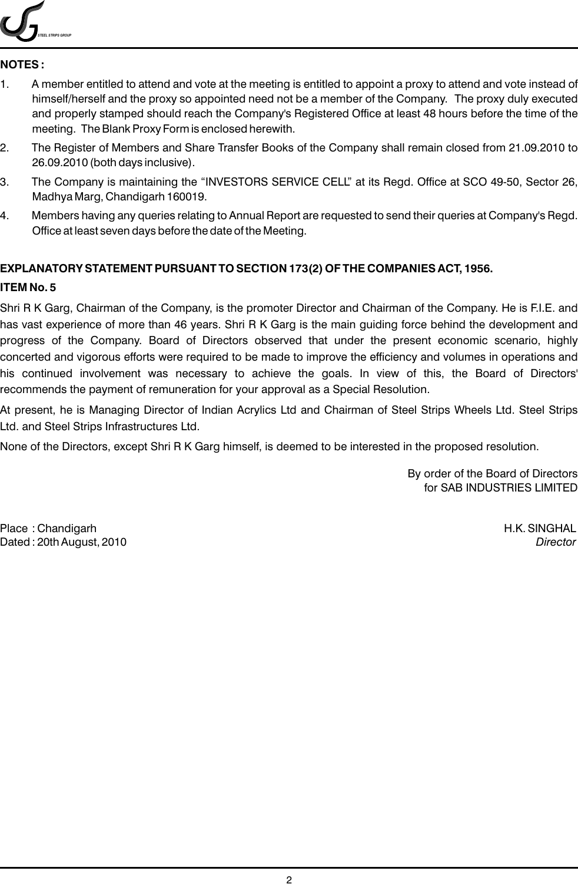

#### **NOTES :**

- 1. A member entitled to attend and vote at the meeting is entitled to appoint a proxy to attend and vote instead of himself/herself and the proxy so appointed need not be a member of the Company. The proxy duly executed and properly stamped should reach the Company's Registered Office at least 48 hours before the time of the meeting. The Blank Proxy Form is enclosed herewith.
- 2. The Register of Members and Share Transfer Books of the Company shall remain closed from 21.09.2010 to 26.09.2010 (both days inclusive).
- 3. The Company is maintaining the "INVESTORS SERVICE CELL" at its Regd. Office at SCO 49-50, Sector 26, Madhya Marg, Chandigarh 160019.
- 4. Members having any queries relating to Annual Report are requested to send their queries at Company's Regd. Office at least seven days before the date of the Meeting.

### **EXPLANATORY STATEMENT PURSUANT TO SECTION 173(2) OF THE COMPANIES ACT, 1956.**

#### **ITEM No. 5**

Shri R K Garg, Chairman of the Company, is the promoter Director and Chairman of the Company. He is F.I.E. and has vast experience of more than 46 years. Shri R K Garg is the main guiding force behind the development and progress of the Company. Board of Directors observed that under the present economic scenario, highly concerted and vigorous efforts were required to be made to improve the efficiency and volumes in operations and his continued involvement was necessary to achieve the goals. In view of this, the Board of Directors' recommends the payment of remuneration for your approval as a Special Resolution.

At present, he is Managing Director of Indian Acrylics Ltd and Chairman of Steel Strips Wheels Ltd. Steel Strips Ltd. and Steel Strips Infrastructures Ltd.

None of the Directors, except Shri R K Garg himself, is deemed to be interested in the proposed resolution.

By order of the Board of Directors for SAB INDUSTRIES LIMITED

Place : Chandigarh H.K. SINGHAL Dated : 20th August, 2010 *Director*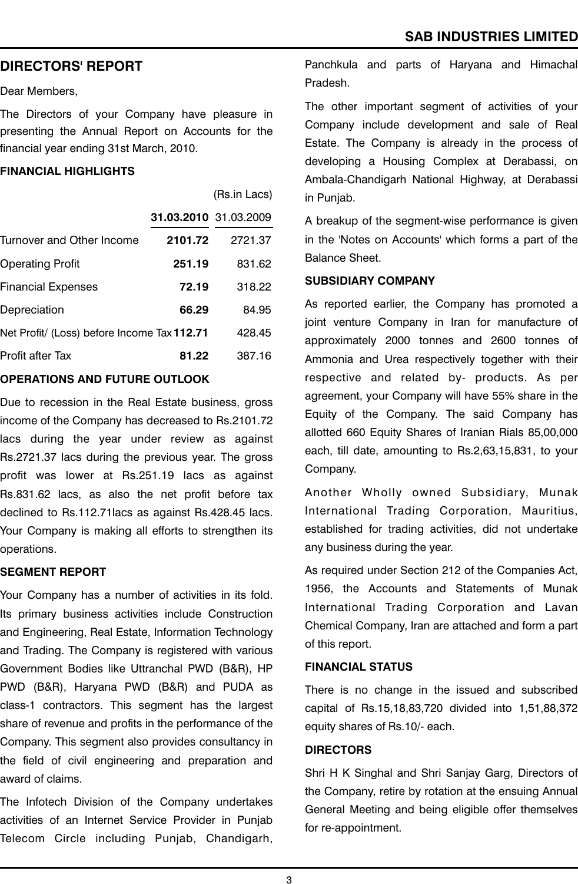### **DIRECTORS' REPORT**

Dear Members,

The Directors of your Company have pleasure in presenting the Annual Report on Accounts for the financial year ending 31st March, 2010.

#### **FINANCIAL HIGHLIGHTS**

|                                             |                       | (Rs.in Lacs) |
|---------------------------------------------|-----------------------|--------------|
|                                             | 31.03.2010 31.03.2009 |              |
| Turnover and Other Income                   | 2101.72               | 2721.37      |
| <b>Operating Profit</b>                     | 251.19                | 831.62       |
| <b>Financial Expenses</b>                   | 72.19                 | 318.22       |
| Depreciation                                | 66.29                 | 84.95        |
| Net Profit/ (Loss) before Income Tax 112.71 |                       | 428.45       |
| Profit after Tax                            | 81.22                 | 387.16       |
|                                             |                       |              |

#### **OPERATIONS AND FUTURE OUTLOOK**

Due to recession in the Real Estate business, gross income of the Company has decreased to Rs.2101.72 lacs during the year under review as against Rs.2721.37 lacs during the previous year. The gross profit was lower at Rs.251.19 lacs as against Rs.831.62 lacs, as also the net profit before tax declined to Rs.112.71lacs as against Rs.428.45 lacs. Your Company is making all efforts to strengthen its operations.

#### **SEGMENT REPORT**

Your Company has a number of activities in its fold. Its primary business activities include Construction and Engineering, Real Estate, Information Technology and Trading. The Company is registered with various Government Bodies like Uttranchal PWD (B&R), HP PWD (B&R), Haryana PWD (B&R) and PUDA as class-1 contractors. This segment has the largest share of revenue and profits in the performance of the Company. This segment also provides consultancy in the field of civil engineering and preparation and award of claims.

The Infotech Division of the Company undertakes activities of an Internet Service Provider in Punjab Telecom Circle including Punjab, Chandigarh,

Panchkula and parts of Haryana and Himachal Pradesh.

The other important segment of activities of your Company include development and sale of Real Estate. The Company is already in the process of developing a Housing Complex at Derabassi, on Ambala-Chandigarh National Highway, at Derabassi in Punjab.

A breakup of the segment-wise performance is given in the 'Notes on Accounts' which forms a part of the Balance Sheet.

#### **SUBSIDIARY COMPANY**

As reported earlier, the Company has promoted a joint venture Company in Iran for manufacture of approximately 2000 tonnes and 2600 tonnes of Ammonia and Urea respectively together with their respective and related by- products. As per agreement, your Company will have 55% share in the Equity of the Company. The said Company has allotted 660 Equity Shares of Iranian Rials 85,00,000 each, till date, amounting to Rs.2,63,15,831, to your Company.

Another Wholly owned Subsidiary, Munak International Trading Corporation, Mauritius, established for trading activities, did not undertake any business during the year.

As required under Section 212 of the Companies Act, 1956, the Accounts and Statements of Munak International Trading Corporation and Lavan Chemical Company, Iran are attached and form a part of this report.

#### **FINANCIAL STATUS**

There is no change in the issued and subscribed capital of Rs.15,18,83,720 divided into 1,51,88,372 equity shares of Rs.10/- each.

#### **DIRECTORS**

Shri H K Singhal and Shri Sanjay Garg, Directors of the Company, retire by rotation at the ensuing Annual General Meeting and being eligible offer themselves for re-appointment.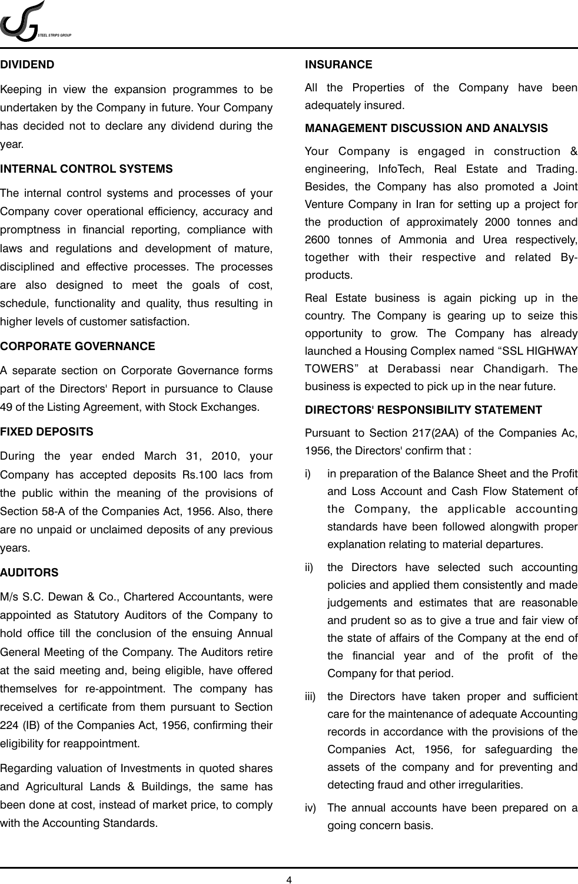

#### **DIVIDEND**

Keeping in view the expansion programmes to be undertaken by the Company in future. Your Company has decided not to declare any dividend during the year.

#### **INTERNAL CONTROL SYSTEMS**

The internal control systems and processes of your Company cover operational efficiency, accuracy and promptness in financial reporting, compliance with laws and regulations and development of mature, disciplined and effective processes. The processes are also designed to meet the goals of cost, schedule, functionality and quality, thus resulting in higher levels of customer satisfaction.

#### **CORPORATE GOVERNANCE**

A separate section on Corporate Governance forms part of the Directors' Report in pursuance to Clause 49 of the Listing Agreement, with Stock Exchanges.

#### **FIXED DEPOSITS**

During the year ended March 31, 2010, your Company has accepted deposits Rs.100 lacs from the public within the meaning of the provisions of Section 58-A of the Companies Act, 1956. Also, there are no unpaid or unclaimed deposits of any previous years.

#### **AUDITORS**

M/s S.C. Dewan & Co., Chartered Accountants, were appointed as Statutory Auditors of the Company to hold office till the conclusion of the ensuing Annual General Meeting of the Company. The Auditors retire at the said meeting and, being eligible, have offered themselves for re-appointment. The company has received a certificate from them pursuant to Section 224 (IB) of the Companies Act, 1956, confirming their eligibility for reappointment.

Regarding valuation of Investments in quoted shares and Agricultural Lands & Buildings, the same has been done at cost, instead of market price, to comply with the Accounting Standards.

#### **INSURANCE**

All the Properties of the Company have been adequately insured.

#### **MANAGEMENT DISCUSSION AND ANALYSIS**

Your Company is engaged in construction & engineering, InfoTech, Real Estate and Trading. Besides, the Company has also promoted a Joint Venture Company in Iran for setting up a project for the production of approximately 2000 tonnes and 2600 tonnes of Ammonia and Urea respectively, together with their respective and related Byproducts.

Real Estate business is again picking up in the country. The Company is gearing up to seize this opportunity to grow. The Company has already launched a Housing Complex named "SSL HIGHWAY TOWERS" at Derabassi near Chandigarh. The business is expected to pick up in the near future.

#### **DIRECTORS' RESPONSIBILITY STATEMENT**

Pursuant to Section 217(2AA) of the Companies Ac, 1956, the Directors' confirm that :

- i) in preparation of the Balance Sheet and the Profit and Loss Account and Cash Flow Statement of the Company, the applicable accounting standards have been followed alongwith proper explanation relating to material departures.
- ii) the Directors have selected such accounting policies and applied them consistently and made judgements and estimates that are reasonable and prudent so as to give a true and fair view of the state of affairs of the Company at the end of the financial year and of the profit of the Company for that period.
- iii) the Directors have taken proper and sufficient care for the maintenance of adequate Accounting records in accordance with the provisions of the Companies Act, 1956, for safeguarding the assets of the company and for preventing and detecting fraud and other irregularities.
- iv) The annual accounts have been prepared on a going concern basis.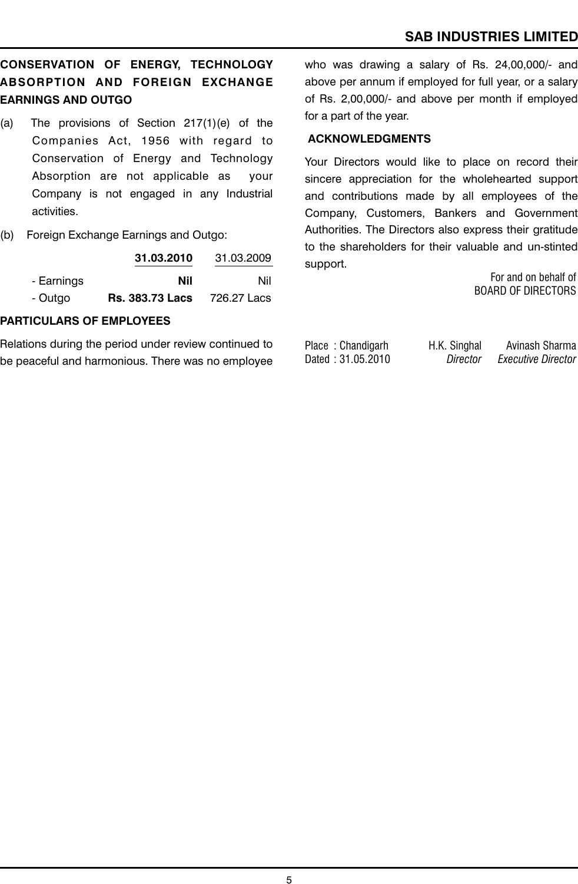## **CONSERVATION OF ENERGY, TECHNOLOGY ABSORPTION AND FOREIGN EXCHANGE EARNINGS AND OUTGO**

- (a) The provisions of Section 217(1)(e) of the Companies Act, 1956 with regard to Conservation of Energy and Technology Absorption are not applicable as your Company is not engaged in any Industrial activities.
- (b) Foreign Exchange Earnings and Outgo:

|            | 31.03.2010             | 31.03.2009  |
|------------|------------------------|-------------|
| - Earnings | Nil                    | Nil         |
| - Outgo    | <b>Rs. 383.73 Lacs</b> | 726.27 Lacs |

### **PARTICULARS OF EMPLOYEES**

Relations during the period under review continued to be peaceful and harmonious. There was no employee who was drawing a salary of Rs. 24,00,000/- and above per annum if employed for full year, or a salary of Rs. 2,00,000/- and above per month if employed for a part of the year.

#### **ACKNOWLEDGMENTS**

Your Directors would like to place on record their sincere appreciation for the wholehearted support and contributions made by all employees of the Company, Customers, Bankers and Government Authorities. The Directors also express their gratitude to the shareholders for their valuable and un-stinted support.

For and on behalf of BOARD OF DIRECTORS

Place : Chandigarh H.K. Singhal Avinash Sharma Dated : 31.05.2010 *Director Executive Director*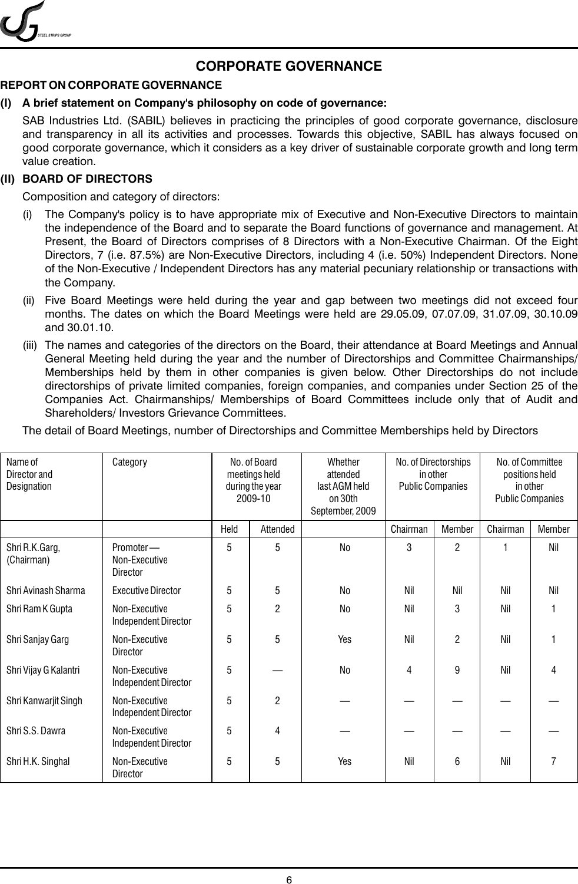*STEEL STRIPS GROUP*

## **CORPORATE GOVERNANCE**

### **REPORT ON CORPORATE GOVERNANCE**

### **(I) A brief statement on Company's philosophy on code of governance:**

SAB Industries Ltd. (SABIL) believes in practicing the principles of good corporate governance, disclosure and transparency in all its activities and processes. Towards this objective, SABIL has always focused on good corporate governance, which it considers as a key driver of sustainable corporate growth and long term value creation.

#### **(II) BOARD OF DIRECTORS**

Composition and category of directors:

- (i) The Company's policy is to have appropriate mix of Executive and Non-Executive Directors to maintain the independence of the Board and to separate the Board functions of governance and management. At Present, the Board of Directors comprises of 8 Directors with a Non-Executive Chairman. Of the Eight Directors, 7 (i.e. 87.5%) are Non-Executive Directors, including 4 (i.e. 50%) Independent Directors. None of the Non-Executive / Independent Directors has any material pecuniary relationship or transactions with the Company.
- (ii) Five Board Meetings were held during the year and gap between two meetings did not exceed four months. The dates on which the Board Meetings were held are 29.05.09, 07.07.09, 31.07.09, 30.10.09 and 30.01.10.
- (iii) The names and categories of the directors on the Board, their attendance at Board Meetings and Annual General Meeting held during the year and the number of Directorships and Committee Chairmanships/ Memberships held by them in other companies is given below. Other Directorships do not include directorships of private limited companies, foreign companies, and companies under Section 25 of the Companies Act. Chairmanships/ Memberships of Board Committees include only that of Audit and Shareholders/ Investors Grievance Committees.

| The detail of Board Meetings, number of Directorships and Committee Memberships held by Directors |  |  |
|---------------------------------------------------------------------------------------------------|--|--|
|                                                                                                   |  |  |

| Name of<br>Director and<br>Designation | Category                                     |      | No. of Board<br>meetings held<br>during the year<br>2009-10 | Whether<br>attended<br>last AGM held<br>on 30th<br>September, 2009 | No. of Directorships<br>in other<br><b>Public Companies</b> |                | No. of Committee<br>positions held<br>in other<br><b>Public Companies</b> |               |
|----------------------------------------|----------------------------------------------|------|-------------------------------------------------------------|--------------------------------------------------------------------|-------------------------------------------------------------|----------------|---------------------------------------------------------------------------|---------------|
|                                        |                                              | Held | Attended                                                    |                                                                    | Chairman                                                    | Member         | Chairman                                                                  | <b>Member</b> |
| Shri R.K.Garg,<br>(Chairman)           | Promoter-<br>Non-Executive<br>Director       | 5    | 5                                                           | No                                                                 | 3                                                           | $\overline{2}$ | 1                                                                         | Nil           |
| Shri Avinash Sharma                    | <b>Executive Director</b>                    | 5    | 5                                                           | No                                                                 | Nil                                                         | Nil            | Nil                                                                       | Nil           |
| Shri Ram K Gupta                       | Non-Executive<br>Independent Director        | 5    | 2                                                           | No                                                                 | Nil                                                         | 3              | Nil                                                                       | 1             |
| Shri Sanjay Garg                       | Non-Executive<br>Director                    | 5    | 5                                                           | Yes                                                                | Nil                                                         | $\overline{2}$ | Nil                                                                       |               |
| Shri Vijay G Kalantri                  | Non-Executive<br>Independent Director        | 5    |                                                             | No                                                                 | 4                                                           | 9              | Nil                                                                       | 4             |
| Shri Kanwarjit Singh                   | Non-Executive<br>Independent Director        | 5    | $\overline{2}$                                              |                                                                    |                                                             |                |                                                                           |               |
| Shri S.S. Dawra                        | Non-Executive<br><b>Independent Director</b> | 5    | 4                                                           |                                                                    |                                                             |                |                                                                           |               |
| Shri H.K. Singhal                      | Non-Executive<br>Director                    | 5    | 5                                                           | Yes                                                                | Nil                                                         | 6              | Nil                                                                       |               |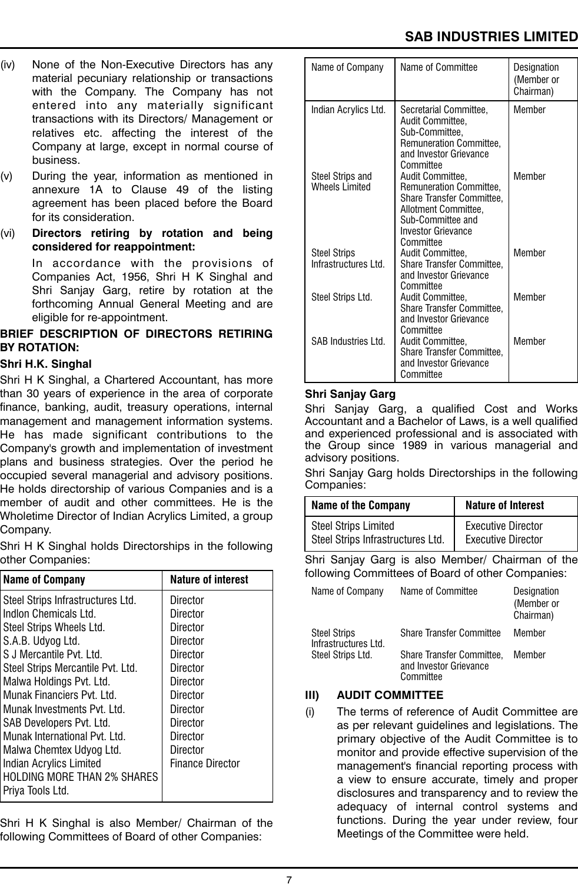- (iv) None of the Non-Executive Directors has any material pecuniary relationship or transactions with the Company. The Company has not entered into any materially significant transactions with its Directors/ Management or relatives etc. affecting the interest of the Company at large, except in normal course of business.
- (v) During the year, information as mentioned in annexure 1A to Clause 49 of the listing agreement has been placed before the Board for its consideration.
- (vi) **Directors retiring by rotation and being considered for reappointment:**

In accordance with the provisions of Companies Act, 1956, Shri H K Singhal and Shri Sanjay Garg, retire by rotation at the forthcoming Annual General Meeting and are eligible for re-appointment.

### **BRIEF DESCRIPTION OF DIRECTORS RETIRING BY ROTATION:**

#### **Shri H.K. Singhal**

Shri H K Singhal, a Chartered Accountant, has more than 30 years of experience in the area of corporate finance, banking, audit, treasury operations, internal management and management information systems. He has made significant contributions to the Company's growth and implementation of investment plans and business strategies. Over the period he occupied several managerial and advisory positions. He holds directorship of various Companies and is a member of audit and other committees. He is the Wholetime Director of Indian Acrylics Limited, a group Company.

Shri H K Singhal holds Directorships in the following other Companies:

| <b>Name of Company</b>             | <b>Nature of interest</b> |
|------------------------------------|---------------------------|
| Steel Strips Infrastructures Ltd.  | Director                  |
| Indion Chemicals Ltd.              | Director                  |
| Steel Strips Wheels Ltd.           | Director                  |
| S.A.B. Udyog Ltd.                  | Director                  |
| S.J. Mercantile Pvt. Ltd.          | Director                  |
| Steel Strips Mercantile Pvt. Ltd.  | Director                  |
| Malwa Holdings Pvt. Ltd.           | Director                  |
| Munak Financiers Pvt. Ltd.         | Director                  |
| Munak Investments Pvt. Ltd.        | Director                  |
| SAB Developers Pvt. Ltd.           | <b>Director</b>           |
| Munak International Pvt. Ltd.      | Director                  |
| Malwa Chemtex Udyog Ltd.           | Director                  |
| <b>Indian Acrylics Limited</b>     | <b>Finance Director</b>   |
| <b>HOLDING MORE THAN 2% SHARES</b> |                           |
| Priya Tools Ltd.                   |                           |

Shri H K Singhal is also Member/ Chairman of the following Committees of Board of other Companies:

| Name of Company                              | Name of Committee                                                                                                                                               | Designation<br>(Member or<br>Chairman) |
|----------------------------------------------|-----------------------------------------------------------------------------------------------------------------------------------------------------------------|----------------------------------------|
| Indian Acrylics Ltd.                         | Secretarial Committee,<br>Audit Committee,<br>Sub-Committee,<br>Remuneration Committee,<br>and Investor Grievance<br>Committee                                  | Member                                 |
| Steel Strips and<br><b>Wheels Limited</b>    | Audit Committee,<br>Remuneration Committee,<br>Share Transfer Committee,<br>Allotment Committee,<br>Sub-Committee and<br><b>Investor Grievance</b><br>Committee | Member                                 |
| <b>Steel Strips</b><br>Infrastructures I td. | Audit Committee,<br><b>Share Transfer Committee,</b><br>and Investor Grievance<br>Committee                                                                     | Member                                 |
| Steel Strips Ltd.                            | Audit Committee,<br>Share Transfer Committee,<br>and Investor Grievance<br>Committee                                                                            | Member                                 |
| <b>SAB Industries Ltd.</b>                   | Audit Committee,<br>Share Transfer Committee,<br>and Investor Grievance<br>Committee                                                                            | Member                                 |

### **Shri Sanjay Garg**

Shri Sanjay Garg, a qualified Cost and Works Accountant and a Bachelor of Laws, is a well qualified and experienced professional and is associated with the Group since 1989 in various managerial and advisory positions.

Shri Sanjay Garg holds Directorships in the following Companies:

| <b>Name of the Company</b>        | <b>Nature of Interest</b> |
|-----------------------------------|---------------------------|
| <b>Steel Strips Limited</b>       | <b>Executive Director</b> |
| Steel Strips Infrastructures Ltd. | <b>Executive Director</b> |

Shri Sanjay Garg is also Member/ Chairman of the following Committees of Board of other Companies:

| Name of Company                             | Name of Committee                                                | Designation<br>(Member or<br>Chairman) |
|---------------------------------------------|------------------------------------------------------------------|----------------------------------------|
| <b>Steel Strips</b><br>Infrastructures Ltd. | <b>Share Transfer Committee</b>                                  | Member                                 |
| Steel Strips Ltd.                           | Share Transfer Committee,<br>and Investor Grievance<br>Committee | Member                                 |

#### **III) AUDIT COMMITTEE**

(i) The terms of reference of Audit Committee are as per relevant guidelines and legislations. The primary objective of the Audit Committee is to monitor and provide effective supervision of the management's financial reporting process with a view to ensure accurate, timely and proper disclosures and transparency and to review the adequacy of internal control systems and functions. During the year under review, four Meetings of the Committee were held.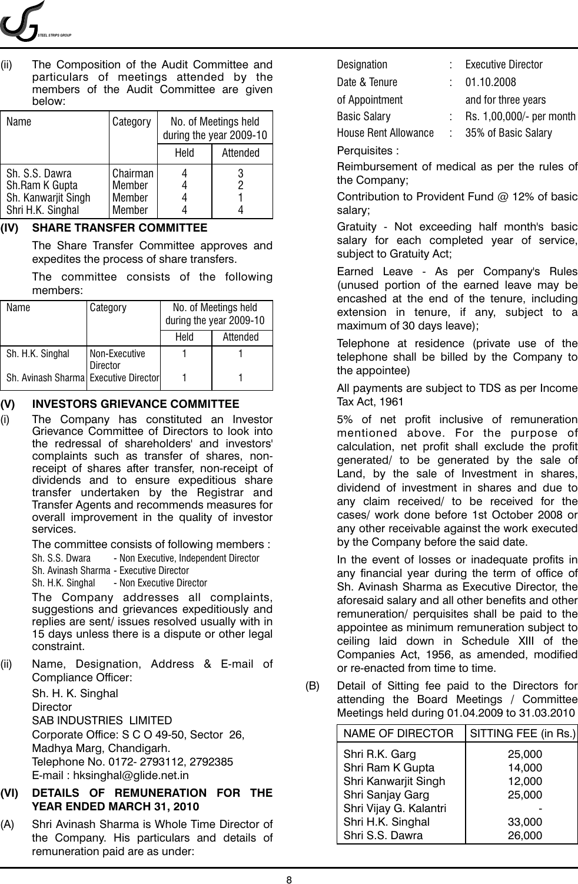

(ii) The Composition of the Audit Committee and particulars of meetings attended by the members of the Audit Committee are given below:

| Name                                                                         | Category                               |      | No. of Meetings held<br>during the year 2009-10 |
|------------------------------------------------------------------------------|----------------------------------------|------|-------------------------------------------------|
|                                                                              |                                        | Held | Attended                                        |
| Sh. S.S. Dawra<br>Sh.Ram K Gupta<br>Sh. Kanwarjit Singh<br>Shri H.K. Singhal | Chairman<br>Member<br>Member<br>Member |      |                                                 |

#### **(IV) SHARE TRANSFER COMMITTEE**

The Share Transfer Committee approves and expedites the process of share transfers.

The committee consists of the following members:

| Name                                  | Category                         |      | No. of Meetings held<br>during the year 2009-10 |
|---------------------------------------|----------------------------------|------|-------------------------------------------------|
|                                       |                                  | Held | Attended                                        |
| Sh. H.K. Singhal                      | Non-Executive<br><b>Director</b> |      |                                                 |
| Sh. Avinash Sharma Executive Director |                                  |      |                                                 |

#### **(V) INVESTORS GRIEVANCE COMMITTEE**

(i) The Company has constituted an Investor Grievance Committee of Directors to look into the redressal of shareholders' and investors' complaints such as transfer of shares, nonreceipt of shares after transfer, non-receipt of dividends and to ensure expeditious share transfer undertaken by the Registrar and Transfer Agents and recommends measures for overall improvement in the quality of investor services.

The committee consists of following members :

Sh. S.S. Dwara - Non Executive, Independent Director

Sh. Avinash Sharma - Executive Director

Sh. H.K. Singhal - Non Executive Director

The Company addresses all complaints, suggestions and grievances expeditiously and replies are sent/ issues resolved usually with in 15 days unless there is a dispute or other legal constraint.

(ii) Name, Designation, Address & E-mail of Compliance Officer:

> Sh. H. K. Singhal **Director** SAB INDUSTRIES LIMITED Corporate Office: S C O 49-50, Sector 26, Madhya Marg, Chandigarh. Telephone No. 0172- 2793112, 2792385 E-mail : hksinghal@glide.net.in

#### **(VI) DETAILS OF REMUNERATION FOR THE YEAR ENDED MARCH 31, 2010**

(A) Shri Avinash Sharma is Whole Time Director of the Company. His particulars and details of remuneration paid are as under:

Designation : Executive Director Date & Tenure : 01.10.2008 of Appointment and for three years Basic Salary : Rs. 1,00,000/- per month House Rent Allowance : 35% of Basic Salary

Perquisites :

Reimbursement of medical as per the rules of the Company;

Contribution to Provident Fund @ 12% of basic salary;

Gratuity - Not exceeding half month's basic salary for each completed year of service, subject to Gratuity Act;

Earned Leave - As per Company's Rules (unused portion of the earned leave may be encashed at the end of the tenure, including extension in tenure, if any, subject to a maximum of 30 days leave);

Telephone at residence (private use of the telephone shall be billed by the Company to the appointee)

All payments are subject to TDS as per Income Tax Act, 1961

5% of net profit inclusive of remuneration mentioned above. For the purpose of calculation, net profit shall exclude the profit generated/ to be generated by the sale of Land, by the sale of Investment in shares, dividend of investment in shares and due to any claim received/ to be received for the cases/ work done before 1st October 2008 or any other receivable against the work executed by the Company before the said date.

In the event of losses or inadequate profits in any financial year during the term of office of Sh. Avinash Sharma as Executive Director, the aforesaid salary and all other benefits and other remuneration/ perquisites shall be paid to the appointee as minimum remuneration subject to ceiling laid down in Schedule XIII of the Companies Act, 1956, as amended, modified or re-enacted from time to time.

(B) Detail of Sitting fee paid to the Directors for attending the Board Meetings / Committee Meetings held during 01.04.2009 to 31.03.2010

| <b>NAME OF DIRECTOR</b> | SITTING FEE (in Rs.) |
|-------------------------|----------------------|
| Shri R.K. Garg          | 25,000               |
| Shri Ram K Gupta        | 14,000               |
| Shri Kanwarjit Singh    | 12,000               |
| Shri Sanjay Garg        | 25,000               |
| Shri Vijay G. Kalantri  |                      |
| Shri H.K. Singhal       | 33,000               |
| Shri S.S. Dawra         | 26,000               |
|                         |                      |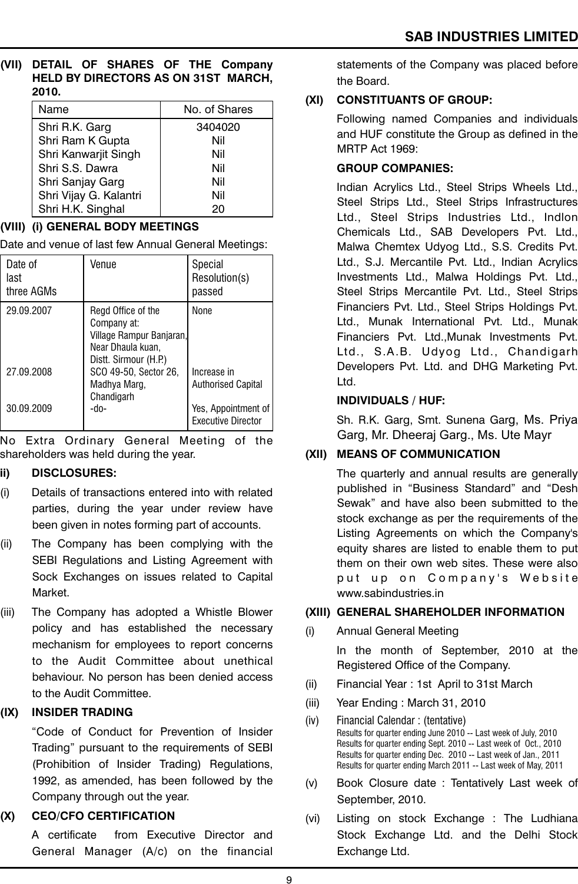#### **(VII) DETAIL OF SHARES OF THE Company HELD BY DIRECTORS AS ON 31ST MARCH, 2010.**

| Name                   | No. of Shares |
|------------------------|---------------|
| Shri R.K. Garg         | 3404020       |
| Shri Ram K Gupta       | Nil           |
| Shri Kanwarjit Singh   | Nil           |
| Shri S.S. Dawra        | Nil           |
| Shri Sanjay Garg       | Nil           |
| Shri Vijay G. Kalantri | Nil           |
| Shri H.K. Singhal      | 20            |

## **(VIII) (i) GENERAL BODY MEETINGS**

Date and venue of last few Annual General Meetings:

| Date of<br>last<br>three AGMs | Venue                                                                                                       | Special<br>Resolution(s)<br>passed               |
|-------------------------------|-------------------------------------------------------------------------------------------------------------|--------------------------------------------------|
| 29.09.2007                    | Regd Office of the<br>Company at:<br>Village Rampur Banjaran,<br>Near Dhaula kuan,<br>Distt. Sirmour (H.P.) | None                                             |
| 27.09.2008                    | SCO 49-50, Sector 26,<br>Madhya Marg,<br>Chandigarh                                                         | Increase in<br><b>Authorised Capital</b>         |
| 30.09.2009                    | -do-                                                                                                        | Yes, Appointment of<br><b>Executive Director</b> |

No Extra Ordinary General Meeting of the shareholders was held during the year.

## **ii) DISCLOSURES:**

- (i) Details of transactions entered into with related parties, during the year under review have been given in notes forming part of accounts.
- (ii) The Company has been complying with the SEBI Regulations and Listing Agreement with Sock Exchanges on issues related to Capital Market.
- (iii) The Company has adopted a Whistle Blower policy and has established the necessary mechanism for employees to report concerns to the Audit Committee about unethical behaviour. No person has been denied access to the Audit Committee.

# **(IX) INSIDER TRADING**

"Code of Conduct for Prevention of Insider Trading" pursuant to the requirements of SEBI (Prohibition of Insider Trading) Regulations, 1992, as amended, has been followed by the Company through out the year.

# **(X) CEO/CFO CERTIFICATION**

A certificate from Executive Director and General Manager (A/c) on the financial

statements of the Company was placed before the Board.

# **(XI) CONSTITUANTS OF GROUP:**

Following named Companies and individuals and HUF constitute the Group as defined in the MRTP Act 1969:

# **GROUP COMPANIES:**

Indian Acrylics Ltd., Steel Strips Wheels Ltd., Steel Strips Ltd., Steel Strips Infrastructures Ltd., Steel Strips Industries Ltd., Indlon Chemicals Ltd., SAB Developers Pvt. Ltd., Malwa Chemtex Udyog Ltd., S.S. Credits Pvt. Ltd., S.J. Mercantile Pvt. Ltd., Indian Acrylics Investments Ltd., Malwa Holdings Pvt. Ltd., Steel Strips Mercantile Pvt. Ltd., Steel Strips Financiers Pvt. Ltd., Steel Strips Holdings Pvt. Ltd., Munak International Pvt. Ltd., Munak Financiers Pvt. Ltd.,Munak Investments Pvt. Ltd., S.A.B. Udyog Ltd., Chandigarh Developers Pvt. Ltd. and DHG Marketing Pvt. Ltd.

### **INDIVIDUALS / HUF:**

Sh. R.K. Garg, Smt. Sunena Garg, Ms. Priya Garg, Mr. Dheeraj Garg., Ms. Ute Mayr

# **(XII) MEANS OF COMMUNICATION**

The quarterly and annual results are generally published in "Business Standard" and "Desh Sewak" and have also been submitted to the stock exchange as per the requirements of the Listing Agreements on which the Company's equity shares are listed to enable them to put them on their own web sites. These were also put up on Company's Website www.sabindustries.in

## **(XIII) GENERAL SHAREHOLDER INFORMATION**

(i) Annual General Meeting

In the month of September, 2010 at the Registered Office of the Company.

- (ii) Financial Year : 1st April to 31st March
- (iii) Year Ending : March 31, 2010
- (iv) Financial Calendar : (tentative) Results for quarter ending June 2010 -- Last week of July, 2010 Results for quarter ending Sept. 2010 -- Last week of Oct., 2010 Results for quarter ending Dec. 2010 -- Last week of Jan., 2011 Results for quarter ending March 2011 -- Last week of May, 2011
- (v) Book Closure date : Tentatively Last week of September, 2010.
- (vi) Listing on stock Exchange : The Ludhiana Stock Exchange Ltd. and the Delhi Stock Exchange Ltd.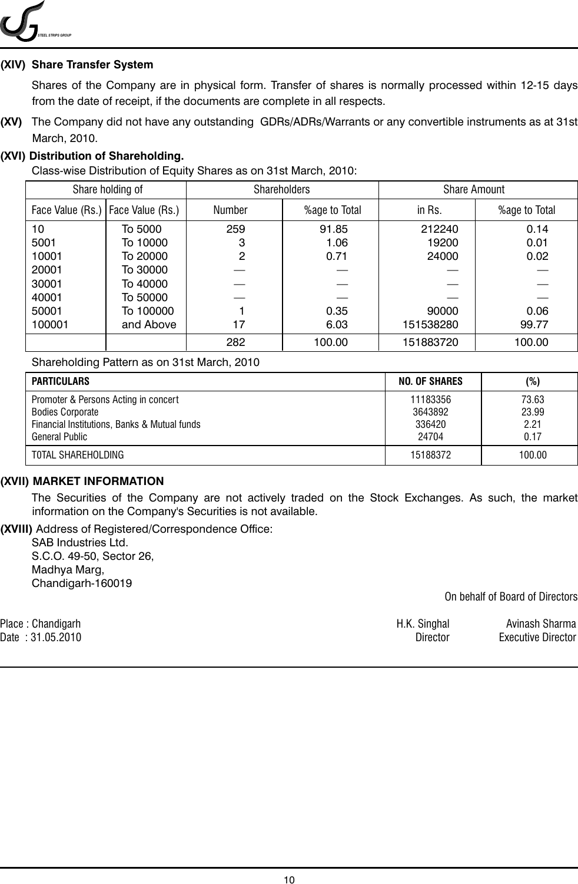

#### **(XIV) Share Transfer System**

Shares of the Company are in physical form. Transfer of shares is normally processed within 12-15 days from the date of receipt, if the documents are complete in all respects.

**(XV)** The Company did not have any outstanding GDRs/ADRs/Warrants or any convertible instruments as at 31st March, 2010.

#### **(XVI) Distribution of Shareholding.**

Class-wise Distribution of Equity Shares as on 31st March, 2010:

| Share holding of |                                     |        | <b>Shareholders</b><br><b>Share Amount</b> |           |               |
|------------------|-------------------------------------|--------|--------------------------------------------|-----------|---------------|
|                  | Face Value (Rs.)   Face Value (Rs.) | Number | %age to Total                              | in Rs.    | %age to Total |
| 10               | To 5000                             | 259    | 91.85                                      | 212240    | 0.14          |
| 5001             | To 10000                            | З      | 1.06                                       | 19200     | 0.01          |
| 10001            | To 20000                            | 2      | 0.71                                       | 24000     | 0.02          |
| 20001            | To 30000                            |        |                                            |           |               |
| 30001            | To 40000                            |        |                                            |           |               |
| 40001            | To 50000                            |        |                                            |           |               |
| 50001            | To 100000                           |        | 0.35                                       | 90000     | 0.06          |
| 100001           | and Above                           | 17     | 6.03                                       | 151538280 | 99.77         |
|                  |                                     | 282    | 100.00                                     | 151883720 | 100.00        |

Shareholding Pattern as on 31st March, 2010

| PARTICULARS                                                                                                                       | NO. OF SHARES                          | (%)                            |
|-----------------------------------------------------------------------------------------------------------------------------------|----------------------------------------|--------------------------------|
| Promoter & Persons Acting in concert<br><b>Bodies Corporate</b><br>Financial Institutions, Banks & Mutual funds<br>General Public | 11183356<br>3643892<br>336420<br>24704 | 73.63<br>23.99<br>2.21<br>0.17 |
| TOTAL SHAREHOLDING                                                                                                                | 15188372                               | 100.00                         |

#### **(XVII) MARKET INFORMATION**

The Securities of the Company are not actively traded on the Stock Exchanges. As such, the market information on the Company's Securities is not available.

**(XVIII)** Address of Registered/Correspondence Office:

SAB Industries Ltd. S.C.O. 49-50, Sector 26, Madhya Marg, Chandigarh-160019

On behalf of Board of Directors

| Place: Chandigarh | H.K. Singhal | Avinash Sharma            |
|-------------------|--------------|---------------------------|
| Date: 31.05.2010  | Director     | <b>Executive Director</b> |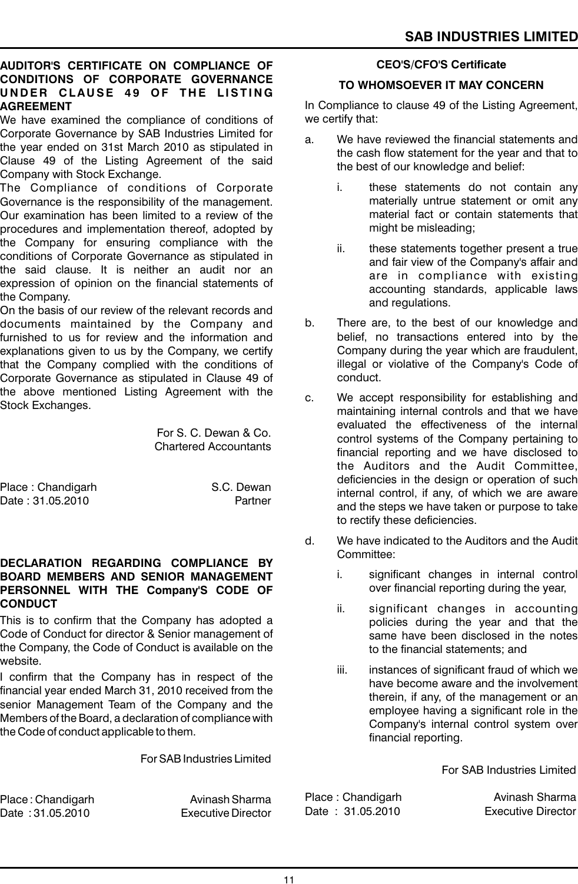#### **AUDITOR'S CERTIFICATE ON COMPLIANCE OF CONDITIONS OF CORPORATE GOVERNANCE U N D E R CLAU SE 4 9 OF T H E L IST I N G AGREEMENT**

We have examined the compliance of conditions of Corporate Governance by SAB Industries Limited for the year ended on 31st March 2010 as stipulated in Clause 49 of the Listing Agreement of the said Company with Stock Exchange.

The Compliance of conditions of Corporate Governance is the responsibility of the management. Our examination has been limited to a review of the procedures and implementation thereof, adopted by the Company for ensuring compliance with the conditions of Corporate Governance as stipulated in the said clause. It is neither an audit nor an expression of opinion on the financial statements of the Company.

On the basis of our review of the relevant records and documents maintained by the Company and furnished to us for review and the information and explanations given to us by the Company, we certify that the Company complied with the conditions of Corporate Governance as stipulated in Clause 49 of the above mentioned Listing Agreement with the Stock Exchanges.

> For S. C. Dewan & Co. Chartered Accountants

Place : Chandigarh S.C. Dewan Date : 31.05.2010 **Partner** 

#### **DECLARATION REGARDING COMPLIANCE BY BOARD MEMBERS AND SENIOR MANAGEMENT PERSONNEL WITH THE Company'S CODE OF CONDUCT**

This is to confirm that the Company has adopted a Code of Conduct for director & Senior management of the Company, the Code of Conduct is available on the website.

I confirm that the Company has in respect of the financial year ended March 31, 2010 received from the senior Management Team of the Company and the Members of the Board, a declaration of compliance with the Code of conduct applicable to them.

For SAB Industries Limited

Place : Chandigarh **Avinash Sharma** Date : 31.05.2010 Executive Director

#### **CEO'S/CFO'S Certificate**

#### **TO WHOMSOEVER IT MAY CONCERN**

In Compliance to clause 49 of the Listing Agreement, we certify that:

- a. We have reviewed the financial statements and the cash flow statement for the year and that to the best of our knowledge and belief:
	- i. these statements do not contain any materially untrue statement or omit any material fact or contain statements that might be misleading;
	- ii. these statements together present a true and fair view of the Company's affair and are in compliance with existing accounting standards, applicable laws and regulations.
- b. There are, to the best of our knowledge and belief, no transactions entered into by the Company during the year which are fraudulent, illegal or violative of the Company's Code of conduct.
- c. We accept responsibility for establishing and maintaining internal controls and that we have evaluated the effectiveness of the internal control systems of the Company pertaining to financial reporting and we have disclosed to the Auditors and the Audit Committee, deficiencies in the design or operation of such internal control, if any, of which we are aware and the steps we have taken or purpose to take to rectify these deficiencies.
- d. We have indicated to the Auditors and the Audit Committee:
	- i. significant changes in internal control over financial reporting during the year,
	- ii. significant changes in accounting policies during the year and that the same have been disclosed in the notes to the financial statements; and
	- iii. instances of significant fraud of which we have become aware and the involvement therein, if any, of the management or an employee having a significant role in the Company's internal control system over financial reporting.

For SAB Industries Limited

Place : Chandigarh Avinash Sharma Date: 31.05.2010 Executive Director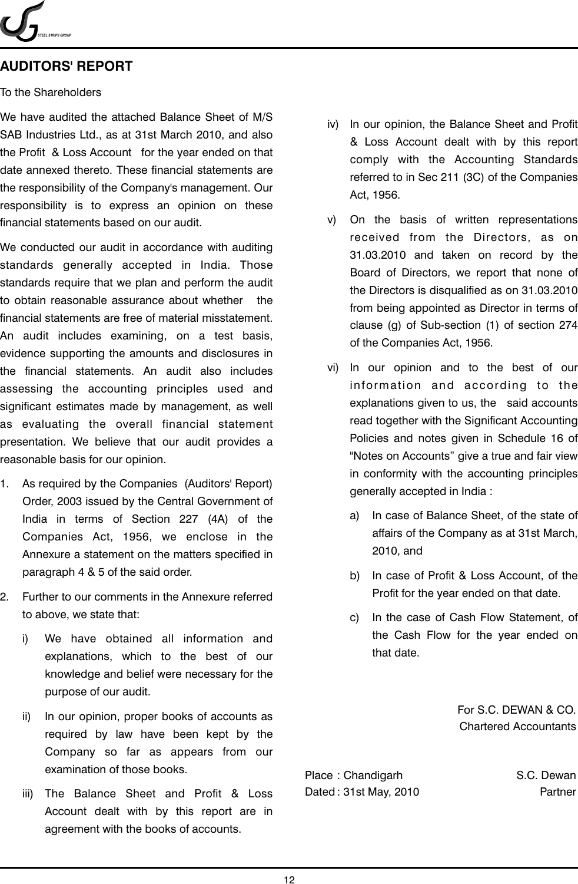*STEEL STRIPS GROUP*

### **AUDITORS' REPORT**

#### To the Shareholders

We have audited the attached Balance Sheet of M/S SAB Industries Ltd., as at 31st March 2010, and also the Profit & Loss Account for the year ended on that date annexed thereto. These financial statements are the responsibility of the Company's management. Our responsibility is to express an opinion on these financial statements based on our audit.

We conducted our audit in accordance with auditing standards generally accepted in India. Those standards require that we plan and perform the audit to obtain reasonable assurance about whether the financial statements are free of material misstatement. An audit includes examining, on a test basis, evidence supporting the amounts and disclosures in the financial statements. An audit also includes assessing the accounting principles used and significant estimates made by management, as well as evaluating the overall financial statement presentation. We believe that our audit provides a reasonable basis for our opinion.

- 1. As required by the Companies (Auditors' Report) Order, 2003 issued by the Central Government of India in terms of Section 227 (4A) of the Companies Act, 1956, we enclose in the Annexure a statement on the matters specified in paragraph 4 & 5 of the said order.
- 2. Further to our comments in the Annexure referred to above, we state that:
	- i) We have obtained all information and explanations, which to the best of our knowledge and belief were necessary for the purpose of our audit.
	- ii) In our opinion, proper books of accounts as required by law have been kept by the Company so far as appears from our examination of those books.
	- iii) The Balance Sheet and Profit & Loss Account dealt with by this report are in agreement with the books of accounts.
- iv) In our opinion, the Balance Sheet and Profit & Loss Account dealt with by this report comply with the Accounting Standards referred to in Sec 211 (3C) of the Companies Act, 1956.
- v) On the basis of written representations received from the Directors, as on 31.03.2010 and taken on record by the Board of Directors, we report that none of the Directors is disqualified as on 31.03.2010 from being appointed as Director in terms of clause (g) of Sub-section (1) of section 274 of the Companies Act, 1956.
- vi) In our opinion and to the best of our information and according to the explanations given to us, the said accounts read together with the Significant Accounting Policies and notes given in Schedule 16 of "Notes on Accounts" give a true and fair view in conformity with the accounting principles generally accepted in India :
	- a) In case of Balance Sheet, of the state of affairs of the Company as at 31st March, 2010, and
	- b) In case of Profit & Loss Account, of the Profit for the year ended on that date.
	- c) In the case of Cash Flow Statement, of the Cash Flow for the year ended on that date.

For S.C. DEWAN & CO. Chartered Accountants

Place : Chandigarh S.C. Dewan Dated : 31st May, 2010 **Partner**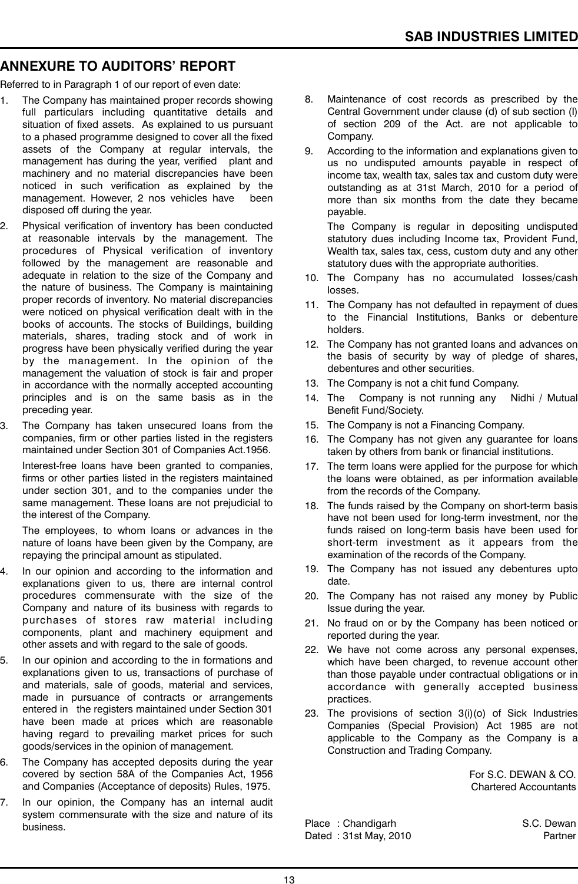# **ANNEXURE TO AUDITORS' REPORT**

Referred to in Paragraph 1 of our report of even date:

- 1. The Company has maintained proper records showing full particulars including quantitative details and situation of fixed assets. As explained to us pursuant to a phased programme designed to cover all the fixed assets of the Company at regular intervals, the management has during the year, verified plant and machinery and no material discrepancies have been noticed in such verification as explained by the management. However, 2 nos vehicles have been management. However, 2 nos vehicles have disposed off during the year.
- 2. Physical verification of inventory has been conducted at reasonable intervals by the management. The procedures of Physical verification of inventory followed by the management are reasonable and adequate in relation to the size of the Company and the nature of business. The Company is maintaining proper records of inventory. No material discrepancies were noticed on physical verification dealt with in the books of accounts. The stocks of Buildings, building materials, shares, trading stock and of work in progress have been physically verified during the year by the management. In the opinion of the management the valuation of stock is fair and proper in accordance with the normally accepted accounting principles and is on the same basis as in the preceding year.
- 3. The Company has taken unsecured loans from the companies, firm or other parties listed in the registers maintained under Section 301 of Companies Act.1956.

Interest-free loans have been granted to companies, firms or other parties listed in the registers maintained under section 301, and to the companies under the same management. These loans are not prejudicial to the interest of the Company.

The employees, to whom loans or advances in the nature of loans have been given by the Company, are repaying the principal amount as stipulated.

- 4. In our opinion and according to the information and explanations given to us, there are internal control procedures commensurate with the size of the Company and nature of its business with regards to purchases of stores raw material including components, plant and machinery equipment and other assets and with regard to the sale of goods.
- 5. In our opinion and according to the in formations and explanations given to us, transactions of purchase of and materials, sale of goods, material and services, made in pursuance of contracts or arrangements entered in the registers maintained under Section 301 have been made at prices which are reasonable having regard to prevailing market prices for such goods/services in the opinion of management.
- 6. The Company has accepted deposits during the year covered by section 58A of the Companies Act, 1956 and Companies (Acceptance of deposits) Rules, 1975.
- 7. In our opinion, the Company has an internal audit system commensurate with the size and nature of its business.
- 8. Maintenance of cost records as prescribed by the Central Government under clause (d) of sub section (I) of section 209 of the Act. are not applicable to Company.
- 9. According to the information and explanations given to us no undisputed amounts payable in respect of income tax, wealth tax, sales tax and custom duty were outstanding as at 31st March, 2010 for a period of more than six months from the date they became payable.

The Company is regular in depositing undisputed statutory dues including Income tax, Provident Fund, Wealth tax, sales tax, cess, custom duty and any other statutory dues with the appropriate authorities.

- 10. The Company has no accumulated losses/cash losses.
- 11. The Company has not defaulted in repayment of dues to the Financial Institutions, Banks or debenture holders.
- 12. The Company has not granted loans and advances on the basis of security by way of pledge of shares, debentures and other securities.
- 13. The Company is not a chit fund Company.
- 14. The Company is not running any Nidhi / Mutual Benefit Fund/Society.
- 15. The Company is not a Financing Company.
- 16. The Company has not given any guarantee for loans taken by others from bank or financial institutions.
- 17. The term loans were applied for the purpose for which the loans were obtained, as per information available from the records of the Company.
- 18. The funds raised by the Company on short-term basis have not been used for long-term investment, nor the funds raised on long-term basis have been used for short-term investment as it appears from the examination of the records of the Company.
- 19. The Company has not issued any debentures upto date.
- 20. The Company has not raised any money by Public Issue during the year.
- 21. No fraud on or by the Company has been noticed or reported during the year.
- 22. We have not come across any personal expenses, which have been charged, to revenue account other than those payable under contractual obligations or in accordance with generally accepted business practices.
- 23. The provisions of section 3(i)(o) of Sick Industries Companies (Special Provision) Act 1985 are not applicable to the Company as the Company is a Construction and Trading Company.

For S.C. DEWAN & CO. Chartered Accountants

Place: Chandigarh S.C. Dewan Dated : 31st May, 2010 Partner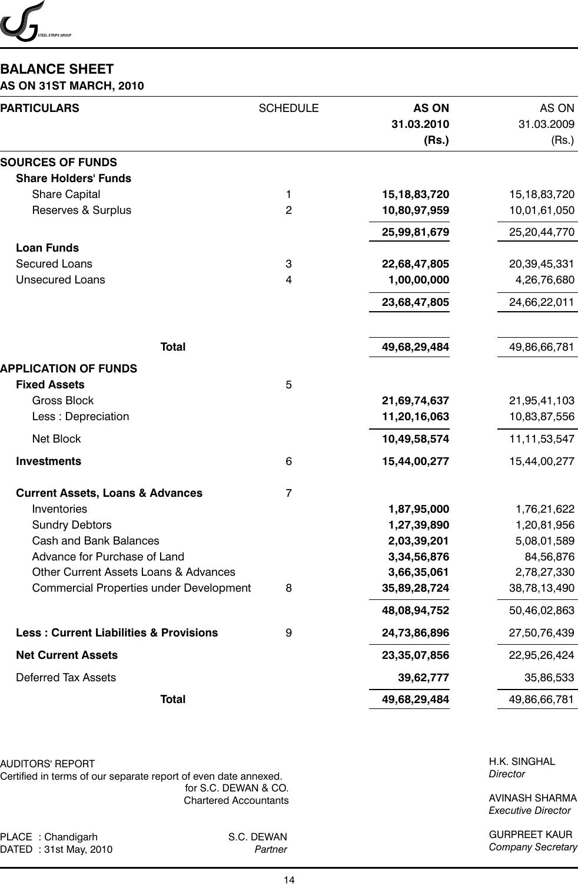

# **BALANCE SHEET**

#### **AS ON 31ST MARCH, 2010**

| <b>PARTICULARS</b>                                 | <b>SCHEDULE</b> | <b>AS ON</b><br>31.03.2010<br>(Rs.) | AS ON<br>31.03.2009<br>(Rs.) |
|----------------------------------------------------|-----------------|-------------------------------------|------------------------------|
| <b>SOURCES OF FUNDS</b>                            |                 |                                     |                              |
| <b>Share Holders' Funds</b>                        |                 |                                     |                              |
| <b>Share Capital</b>                               | 1               | 15, 18, 83, 720                     | 15, 18, 83, 720              |
| Reserves & Surplus                                 | $\overline{c}$  | 10,80,97,959                        | 10,01,61,050                 |
|                                                    |                 | 25,99,81,679                        | 25,20,44,770                 |
| <b>Loan Funds</b>                                  |                 |                                     |                              |
| <b>Secured Loans</b>                               | 3               | 22,68,47,805                        | 20,39,45,331                 |
| <b>Unsecured Loans</b>                             | 4               | 1,00,00,000                         | 4,26,76,680                  |
|                                                    |                 | 23,68,47,805                        | 24,66,22,011                 |
| <b>Total</b>                                       |                 | 49,68,29,484                        | 49,86,66,781                 |
|                                                    |                 |                                     |                              |
| <b>APPLICATION OF FUNDS</b><br><b>Fixed Assets</b> |                 |                                     |                              |
| <b>Gross Block</b>                                 | 5               | 21,69,74,637                        | 21,95,41,103                 |
| Less : Depreciation                                |                 | 11,20,16,063                        | 10,83,87,556                 |
|                                                    |                 |                                     |                              |
| Net Block                                          |                 | 10,49,58,574                        | 11, 11, 53, 547              |
| <b>Investments</b>                                 | 6               | 15,44,00,277                        | 15,44,00,277                 |
| <b>Current Assets, Loans &amp; Advances</b>        | $\overline{7}$  |                                     |                              |
| Inventories                                        |                 | 1,87,95,000                         | 1,76,21,622                  |
| <b>Sundry Debtors</b>                              |                 | 1,27,39,890                         | 1,20,81,956                  |
| <b>Cash and Bank Balances</b>                      |                 | 2,03,39,201                         | 5,08,01,589                  |
| Advance for Purchase of Land                       |                 | 3,34,56,876                         | 84,56,876                    |
| Other Current Assets Loans & Advances              |                 | 3,66,35,061                         | 2,78,27,330                  |
| Commercial Properties under Development            | 8               | 35,89,28,724                        | 38,78,13,490                 |
|                                                    |                 | 48,08,94,752                        | 50,46,02,863                 |
| <b>Less: Current Liabilities &amp; Provisions</b>  | 9               | 24,73,86,896                        | 27,50,76,439                 |
| <b>Net Current Assets</b>                          |                 | 23,35,07,856                        | 22,95,26,424                 |
| <b>Deferred Tax Assets</b>                         |                 | 39,62,777                           | 35,86,533                    |
| <b>Total</b>                                       |                 | 49,68,29,484                        | 49,86,66,781                 |

AUDITORS' REPORT

Certified in terms of our separate report of even date annexed. for S.C. DEWAN & CO. Chartered Accountants

PLACE : Chandigarh S.C. DEWAN<br>DATED : 31st May, 2010 Partner DATED : 31st May, 2010

H.K. SINGHAL *Director*

AVINASH SHARMA *Executive Director*

GURPREET KAUR *Company Secretary*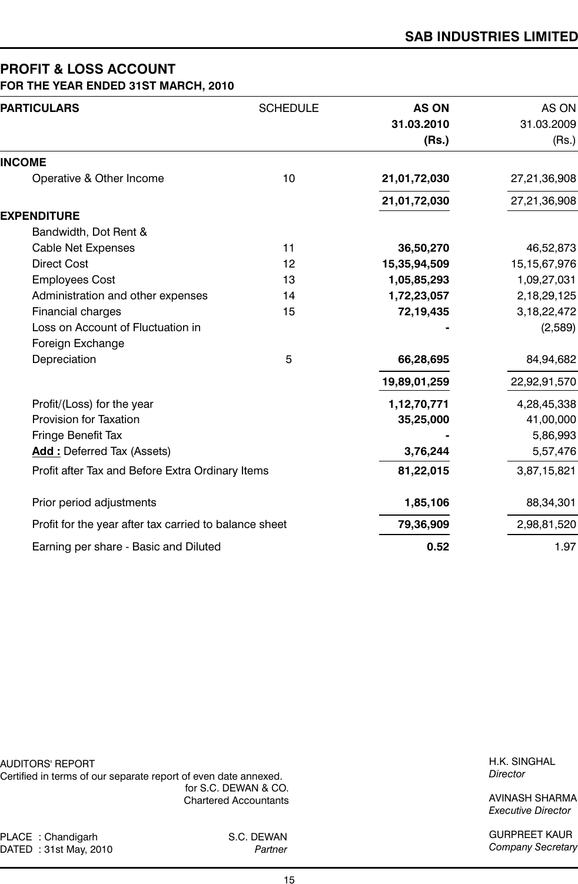#### **PROFIT & LOSS ACCOUNT FOR THE YEAR ENDED 31ST MARCH, 2010**

| <b>PARTICULARS</b>                                     | <b>SCHEDULE</b> | <b>AS ON</b> | AS ON           |
|--------------------------------------------------------|-----------------|--------------|-----------------|
|                                                        |                 | 31.03.2010   | 31.03.2009      |
|                                                        |                 | (Rs.)        | (Rs.)           |
| <b>INCOME</b>                                          |                 |              |                 |
| Operative & Other Income                               | 10              | 21,01,72,030 | 27,21,36,908    |
|                                                        |                 | 21,01,72,030 | 27,21,36,908    |
| <b>EXPENDITURE</b>                                     |                 |              |                 |
| Bandwidth, Dot Rent &                                  |                 |              |                 |
| <b>Cable Net Expenses</b>                              | 11              | 36,50,270    | 46,52,873       |
| <b>Direct Cost</b>                                     | 12              | 15,35,94,509 | 15, 15, 67, 976 |
| <b>Employees Cost</b>                                  | 13              | 1,05,85,293  | 1,09,27,031     |
| Administration and other expenses                      | 14              | 1,72,23,057  | 2,18,29,125     |
| Financial charges                                      | 15              | 72,19,435    | 3, 18, 22, 472  |
| Loss on Account of Fluctuation in                      |                 |              | (2,589)         |
| Foreign Exchange                                       |                 |              |                 |
| Depreciation                                           | 5               | 66,28,695    | 84,94,682       |
|                                                        |                 | 19,89,01,259 | 22,92,91,570    |
| Profit/(Loss) for the year                             |                 | 1,12,70,771  | 4,28,45,338     |
| <b>Provision for Taxation</b>                          |                 | 35,25,000    | 41,00,000       |
| Fringe Benefit Tax                                     |                 |              | 5,86,993        |
| <b>Add: Deferred Tax (Assets)</b>                      |                 | 3,76,244     | 5,57,476        |
| Profit after Tax and Before Extra Ordinary Items       |                 | 81,22,015    | 3,87,15,821     |
| Prior period adjustments                               |                 | 1,85,106     | 88,34,301       |
| Profit for the year after tax carried to balance sheet |                 | 79,36,909    | 2,98,81,520     |
| Earning per share - Basic and Diluted                  |                 | 0.52         | 1.97            |

AUDITORS' REPORT Certified in terms of our separate report of even date annexed.

for S.C. DEWAN & CO. Chartered Accountants

PLACE : Chandigarh S.C. DEWAN<br>DATED : 31st May, 2010 Partner DATED : 31st May, 2010

H.K. SINGHAL *Director*

AVINASH SHARMA *Executive Director*

GURPREET KAUR *Company Secretary*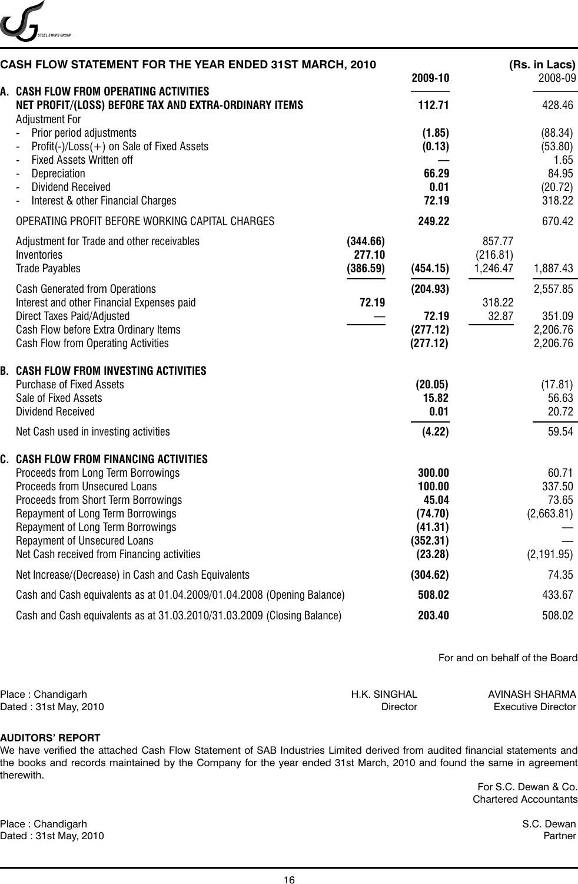

| CASH FLOW STATEMENT FOR THE YEAR ENDED 31ST MARCH, 2010                                                                                                                                                                                                                                                              |                                | 2009-10                                                                |                                | (Rs. in Lacs)<br>2008-09                                 |
|----------------------------------------------------------------------------------------------------------------------------------------------------------------------------------------------------------------------------------------------------------------------------------------------------------------------|--------------------------------|------------------------------------------------------------------------|--------------------------------|----------------------------------------------------------|
| A. CASH FLOW FROM OPERATING ACTIVITIES<br>NET PROFIT/(LOSS) BEFORE TAX AND EXTRA-ORDINARY ITEMS                                                                                                                                                                                                                      |                                | 112.71                                                                 |                                | 428.46                                                   |
| <b>Adjustment For</b><br>Prior period adjustments<br>$Profit(-)/Loss(+)$ on Sale of Fixed Assets<br><b>Fixed Assets Written off</b><br>Depreciation<br><b>Dividend Received</b><br>Interest & other Financial Charges                                                                                                |                                | (1.85)<br>(0.13)<br>66.29<br>0.01<br>72.19                             |                                | (88.34)<br>(53.80)<br>1.65<br>84.95<br>(20.72)<br>318.22 |
| OPERATING PROFIT BEFORE WORKING CAPITAL CHARGES                                                                                                                                                                                                                                                                      |                                | 249.22                                                                 |                                | 670.42                                                   |
| Adjustment for Trade and other receivables<br>Inventories<br><b>Trade Payables</b>                                                                                                                                                                                                                                   | (344.66)<br>277.10<br>(386.59) | (454.15)                                                               | 857.77<br>(216.81)<br>1,246.47 | 1,887.43                                                 |
| <b>Cash Generated from Operations</b><br>Interest and other Financial Expenses paid<br>Direct Taxes Paid/Adjusted<br>Cash Flow before Extra Ordinary Items<br>Cash Flow from Operating Activities                                                                                                                    | 72.19                          | (204.93)<br>72.19<br>(277.12)<br>(277.12)                              | 318.22<br>32.87                | 2,557.85<br>351.09<br>2,206.76<br>2,206.76               |
| <b>B. CASH FLOW FROM INVESTING ACTIVITIES</b><br><b>Purchase of Fixed Assets</b><br>Sale of Fixed Assets<br><b>Dividend Received</b><br>Net Cash used in investing activities                                                                                                                                        |                                | (20.05)<br>15.82<br>0.01<br>(4.22)                                     |                                | (17.81)<br>56.63<br>20.72<br>59.54                       |
| C. CASH FLOW FROM FINANCING ACTIVITIES<br>Proceeds from Long Term Borrowings<br>Proceeds from Unsecured Loans<br>Proceeds from Short Term Borrowings<br>Repayment of Long Term Borrowings<br>Repayment of Long Term Borrowings<br><b>Repayment of Unsecured Loans</b><br>Net Cash received from Financing activities |                                | 300.00<br>100.00<br>45.04<br>(74.70)<br>(41.31)<br>(352.31)<br>(23.28) |                                | 60.71<br>337.50<br>73.65<br>(2,663.81)<br>(2, 191.95)    |
| Net Increase/(Decrease) in Cash and Cash Equivalents                                                                                                                                                                                                                                                                 |                                | (304.62)                                                               |                                | 74.35                                                    |
| Cash and Cash equivalents as at 01.04.2009/01.04.2008 (Opening Balance)                                                                                                                                                                                                                                              |                                | 508.02                                                                 |                                | 433.67                                                   |
| Cash and Cash equivalents as at 31.03.2010/31.03.2009 (Closing Balance)                                                                                                                                                                                                                                              |                                | 203.40                                                                 |                                | 508.02                                                   |

For and on behalf of the Board

| Place : Chandigarh     | H.K. SINGHAL | AVINASH SHARMA            |
|------------------------|--------------|---------------------------|
| Dated : 31st May, 2010 | Director     | <b>Executive Director</b> |

#### **AUDITORS' REPORT**

We have verified the attached Cash Flow Statement of SAB Industries Limited derived from audited financial statements and the books and records maintained by the Company for the year ended 31st March, 2010 and found the same in agreement therewith.

> For S.C. Dewan & Co. Chartered Accountants

Place : Chandigarh S.C. Dewan Dated : 31st May, 2010 Partner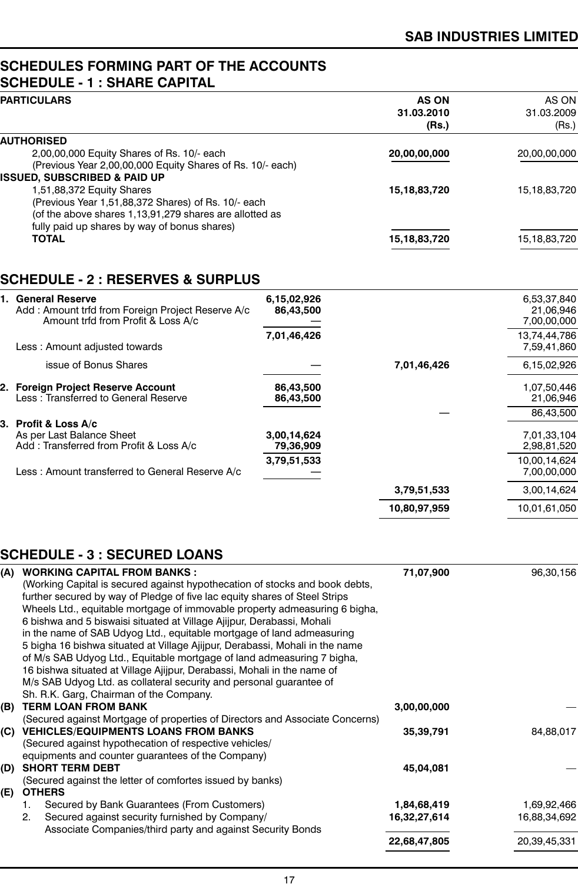## **SCHEDULES FORMING PART OF THE ACCOUNTS SCHEDULE - 1 : SHARE CAPITAL**

| <b>AS ON</b><br>AS ON           |
|---------------------------------|
| 31.03.2010<br>31.03.2009        |
| (Rs.)<br>(Rs.)                  |
|                                 |
| 20,00,00,000<br>20,00,00,000    |
|                                 |
|                                 |
| 15,18,83,720<br>15, 18, 83, 720 |
|                                 |
|                                 |
|                                 |
| 15, 18, 83, 720<br>15,18,83,720 |
|                                 |

# **SCHEDULE - 2 : RESERVES & SURPLUS**

| 1. General Reserve<br>Add: Amount trfd from Foreign Project Reserve A/c<br>Amount trfd from Profit & Loss A/c | 6,15,02,926<br>86,43,500 |              | 6,53,37,840<br>21,06,946<br>7,00,00,000 |
|---------------------------------------------------------------------------------------------------------------|--------------------------|--------------|-----------------------------------------|
|                                                                                                               | 7,01,46,426              |              | 13,74,44,786                            |
| Less: Amount adjusted towards                                                                                 |                          |              | 7,59,41,860                             |
| issue of Bonus Shares                                                                                         |                          | 7,01,46,426  | 6,15,02,926                             |
| 2. Foreign Project Reserve Account                                                                            | 86,43,500                |              | 1,07,50,446                             |
| Less: Transferred to General Reserve                                                                          | 86,43,500                |              | 21,06,946                               |
|                                                                                                               |                          |              | 86,43,500                               |
| 3.Profit & Loss A/c                                                                                           |                          |              |                                         |
| As per Last Balance Sheet                                                                                     | 3,00,14,624              |              | 7,01,33,104                             |
| Add: Transferred from Profit & Loss A/c                                                                       | 79,36,909                |              | 2,98,81,520                             |
|                                                                                                               | 3,79,51,533              |              | 10,00,14,624                            |
| Less: Amount transferred to General Reserve A/c                                                               |                          |              | 7,00,00,000                             |
|                                                                                                               |                          | 3,79,51,533  | 3,00,14,624                             |
|                                                                                                               |                          | 10,80,97,959 | 10,01,61,050                            |
|                                                                                                               |                          |              |                                         |

# **SCHEDULE - 3 : SECURED LOANS**

| (A) | <b>WORKING CAPITAL FROM BANKS:</b>                                           | 71,07,900    | 96,30,156    |
|-----|------------------------------------------------------------------------------|--------------|--------------|
|     | (Working Capital is secured against hypothecation of stocks and book debts,  |              |              |
|     | further secured by way of Pledge of five lac equity shares of Steel Strips   |              |              |
|     | Wheels Ltd., equitable mortgage of immovable property admeasuring 6 bigha,   |              |              |
|     | 6 bishwa and 5 biswaisi situated at Village Ajijpur, Derabassi, Mohali       |              |              |
|     | in the name of SAB Udyog Ltd., equitable mortgage of land admeasuring        |              |              |
|     | 5 bigha 16 bishwa situated at Village Ajijpur, Derabassi, Mohali in the name |              |              |
|     | of M/s SAB Udyog Ltd., Equitable mortgage of land admeasuring 7 bigha,       |              |              |
|     | 16 bishwa situated at Village Ajijpur, Derabassi, Mohali in the name of      |              |              |
|     | M/s SAB Udyog Ltd. as collateral security and personal guarantee of          |              |              |
|     | Sh. R.K. Garg, Chairman of the Company.                                      |              |              |
| (B) | <b>TERM LOAN FROM BANK</b>                                                   | 3,00,00,000  |              |
|     | (Secured against Mortgage of properties of Directors and Associate Concerns) |              |              |
| (C) | <b>VEHICLES/EQUIPMENTS LOANS FROM BANKS</b>                                  | 35,39,791    | 84,88,017    |
|     | (Secured against hypothecation of respective vehicles/                       |              |              |
|     | equipments and counter guarantees of the Company)                            |              |              |
| (D) | <b>SHORT TERM DEBT</b>                                                       | 45,04,081    |              |
|     | (Secured against the letter of comfortes issued by banks)                    |              |              |
| (E) | <b>OTHERS</b>                                                                |              |              |
|     | Secured by Bank Guarantees (From Customers)<br>1.                            | 1,84,68,419  | 1,69,92,466  |
|     | Secured against security furnished by Company/<br>2.                         | 16,32,27,614 | 16,88,34,692 |
|     | Associate Companies/third party and against Security Bonds                   |              |              |
|     |                                                                              | 22,68,47,805 | 20,39,45,331 |
|     |                                                                              |              |              |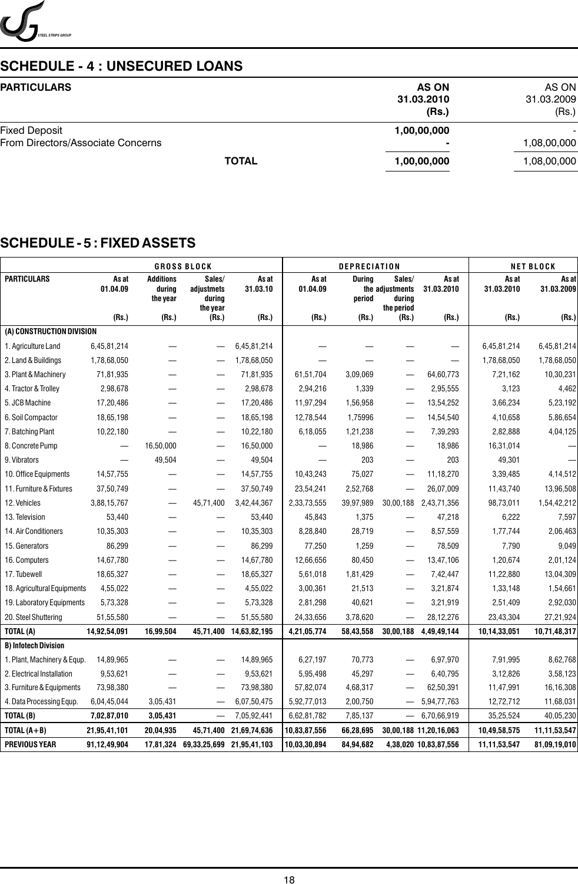

# **SCHEDULE - 4 : UNSECURED LOANS**

| <b>PARTICULARS</b>                                        | <b>AS ON</b><br>31.03.2010<br>(Rs.) | AS ON<br>31.03.2009<br>(Rs.) |
|-----------------------------------------------------------|-------------------------------------|------------------------------|
| <b>Fixed Deposit</b><br>From Directors/Associate Concerns | 1,00,00,000<br>۰                    | 1,08,00,000                  |
| <b>TOTAL</b>                                              | 1,00,00,000                         | 1,08,00,000                  |

# **SCHEDULE - 5 : FIXED ASSETS**

|                             |                                |                                        | <b>GROSS BLOCK</b>                         |                        |                   | <b>DEPRECIATION</b> |                                                   |                        |                     | <b>NET BLOCK</b>    |
|-----------------------------|--------------------------------|----------------------------------------|--------------------------------------------|------------------------|-------------------|---------------------|---------------------------------------------------|------------------------|---------------------|---------------------|
| <b>PARTICULARS</b>          | As at<br>01.04.09              | <b>Additions</b><br>during<br>the year | Sales/<br>adjustmets<br>during<br>the year | As at<br>31.03.10      | As at<br>01.04.09 | During<br>period    | Sales/<br>the adjustments<br>during<br>the period | As at<br>31.03.2010    | As at<br>31.03.2010 | As at<br>31.03.2009 |
|                             | (Rs.)                          | (Rs.)                                  | (Rs.)                                      | (Rs.)                  | (Rs.)             | (Rs.)               | (Rs.)                                             | (Rs.)                  | (Rs.)               | (Rs.)               |
| (A) CONSTRUCTION DIVISION   |                                |                                        |                                            |                        |                   |                     |                                                   |                        |                     |                     |
| 1. Agriculture Land         | 6,45,81,214                    |                                        | —                                          | 6,45,81,214            |                   |                     |                                                   |                        | 6,45,81,214         | 6,45,81,214         |
| 2. Land & Buildings         | 1,78,68,050                    |                                        | $\overline{\phantom{0}}$                   | 1,78,68,050            |                   |                     |                                                   |                        | 1,78,68,050         | 1,78,68,050         |
| 3. Plant & Machinery        | 71,81,935                      |                                        |                                            | 71,81,935              | 61,51,704         | 3,09,069            |                                                   | 64,60,773              | 7,21,162            | 10,30,231           |
| 4. Tractor & Trolley        | 2,98,678                       |                                        |                                            | 2,98,678               | 2,94,216          | 1,339               |                                                   | 2,95,555               | 3,123               | 4,462               |
| 5. JCB Machine              | 17,20,486                      | —                                      | $\overline{\phantom{m}}$                   | 17,20,486              | 11,97,294         | 1,56,958            | $\overline{\phantom{0}}$                          | 13,54,252              | 3,66,234            | 5,23,192            |
| 6. Soil Compactor           | 18,65,198                      |                                        | $\qquad \qquad -$                          | 18,65,198              | 12,78,544         | 1,75996             |                                                   | 14,54,540              | 4,10,658            | 5,86,654            |
| 7. Batching Plant           | 10,22,180                      |                                        | $\qquad \qquad -$                          | 10,22,180              | 6,18,055          | 1,21,238            |                                                   | 7,39,293               | 2,82,888            | 4,04,125            |
| 8. Concrete Pump            | $\qquad \qquad \longleftarrow$ | 16,50,000                              | $\qquad \qquad \longleftarrow$             | 16,50,000              |                   | 18,986              |                                                   | 18,986                 | 16,31,014           |                     |
| 9. Vibrators                |                                | 49,504                                 |                                            | 49,504                 |                   | 203                 |                                                   | 203                    | 49,301              |                     |
| 10. Office Equipments       | 14,57,755                      |                                        | —                                          | 14,57,755              | 10,43,243         | 75,027              |                                                   | 11,18,270              | 3,39,485            | 4,14,512            |
| 11. Furniture & Fixtures    | 37,50,749                      |                                        |                                            | 37,50,749              | 23,54,241         | 2,52,768            |                                                   | 26,07,009              | 11,43,740           | 13,96,508           |
| 12. Vehicles                | 3,88,15,767                    | —                                      | 45,71,400                                  | 3,42,44,367            | 2,33,73,555       | 39,97,989           | 30,00,188                                         | 2,43,71,356            | 98,73,011           | 1,54,42,212         |
| 13. Television              | 53,440                         |                                        | —                                          | 53,440                 | 45,843            | 1,375               |                                                   | 47,218                 | 6,222               | 7,597               |
| 14. Air Conditioners        | 10,35,303                      |                                        | $\qquad \qquad -$                          | 10,35,303              | 8,28,840          | 28,719              |                                                   | 8,57,559               | 1,77,744            | 2,06,463            |
| 15. Generators              | 86,299                         |                                        | $\overline{\phantom{0}}$                   | 86,299                 | 77,250            | 1,259               | $\qquad \qquad -$                                 | 78,509                 | 7,790               | 9,049               |
| 16. Computers               | 14,67,780                      | —                                      | —                                          | 14,67,780              | 12,66,656         | 80,450              | $\overline{\phantom{0}}$                          | 13,47,106              | 1,20,674            | 2,01,124            |
| 17. Tubewell                | 18,65,327                      | —                                      | $\qquad \qquad -$                          | 18,65,327              | 5,61,018          | 1,81,429            | $\overline{\phantom{0}}$                          | 7,42,447               | 11,22,880           | 13,04,309           |
| 18. Agricultural Equipments | 4,55,022                       |                                        | $\qquad \qquad -$                          | 4,55,022               | 3,00,361          | 21,513              |                                                   | 3,21,874               | 1,33,148            | 1,54,661            |
| 19. Laboratory Equipments   | 5,73,328                       |                                        | —                                          | 5,73,328               | 2,81,298          | 40,621              |                                                   | 3,21,919               | 2,51,409            | 2,92,030            |
| 20. Steel Shuttering        | 51,55,580                      |                                        | —                                          | 51,55,580              | 24,33,656         | 3,78,620            |                                                   | 28,12,276              | 23,43,304           | 27,21,924           |
| TOTAL(A)                    | 14,92,54,091                   | 16,99,504                              |                                            | 45,71,400 14,63,82,195 | 4,21,05,774       | 58,43,558           | 30,00,188                                         | 4,49,49,144            | 10,14,33,051        | 10,71,48,317        |
| <b>B) Infotech Division</b> |                                |                                        |                                            |                        |                   |                     |                                                   |                        |                     |                     |
| 1. Plant, Machinery & Equp. | 14,89,965                      |                                        |                                            | 14,89,965              | 6,27,197          | 70,773              |                                                   | 6,97,970               | 7,91,995            | 8,62,768            |
| 2. Electrical Installation  | 9,53,621                       |                                        |                                            | 9,53,621               | 5,95,498          | 45,297              |                                                   | 6,40,795               | 3,12,826            | 3,58,123            |
| 3. Furniture & Equipments   | 73,98,380                      |                                        |                                            | 73,98,380              | 57,82,074         | 4,68,317            |                                                   | 62,50,391              | 11,47,991           | 16,16,308           |
| 4. Data Processing Equp.    | 6,04,45,044                    | 3,05,431                               | $\qquad \qquad -$                          | 6,07,50,475            | 5,92,77,013       | 2,00,750            | $\qquad \qquad -$                                 | 5,94,77,763            | 12,72,712           | 11,68,031           |
| TOTAL (B)                   | 7,02,87,010                    | 3,05,431                               |                                            | 7,05,92,441            | 6,62,81,782       | 7,85,137            | $\overline{\phantom{0}}$                          | 6,70,66,919            | 35,25,524           | 40,05,230           |
| TOTAL $(A + B)$             | 21,95,41,101                   | 20,04,935                              | 45,71,400                                  | 21,69,74,636           | 10,83,87,556      | 66,28,695           |                                                   | 30,00,188 11,20,16,063 | 10,49,58,575        | 11,11,53,547        |
| <b>PREVIOUS YEAR</b>        | 91,12,49,904                   | 17,81,324                              | 69,33,25,699                               | 21,95,41,103           | 10,03,30,894      | 84,94,682           |                                                   | 4,38,020 10,83,87,556  | 11,11,53,547        | 81,09,19,010        |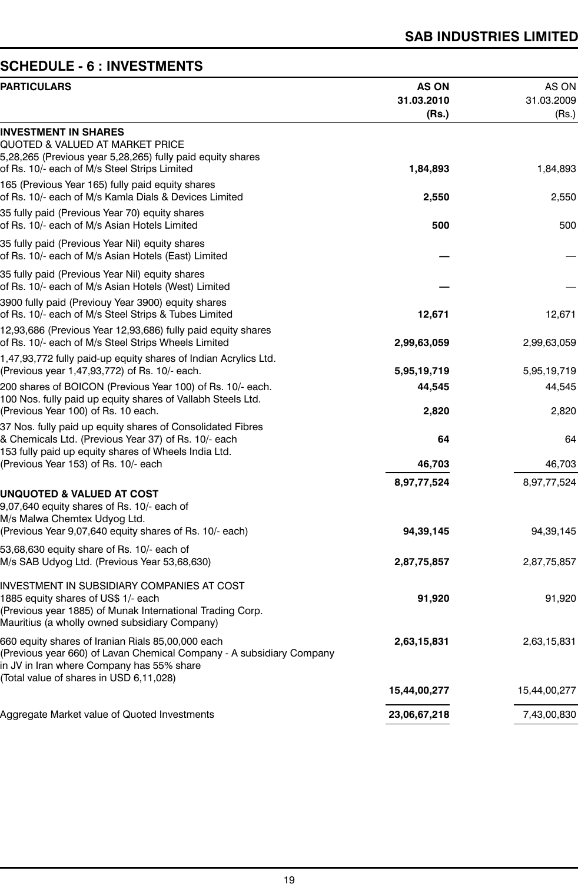# **SCHEDULE - 6 : INVESTMENTS**

| <b>PARTICULARS</b>                                                                                                                                                                              | <b>AS ON</b><br>31.03.2010<br>(Rs.) | AS ON<br>31.03.2009<br>(Rs.) |
|-------------------------------------------------------------------------------------------------------------------------------------------------------------------------------------------------|-------------------------------------|------------------------------|
| <b>INVESTMENT IN SHARES</b><br>QUOTED & VALUED AT MARKET PRICE<br>5,28,265 (Previous year 5,28,265) fully paid equity shares                                                                    |                                     |                              |
| of Rs. 10/- each of M/s Steel Strips Limited<br>165 (Previous Year 165) fully paid equity shares                                                                                                | 1,84,893                            | 1,84,893                     |
| of Rs. 10/- each of M/s Kamla Dials & Devices Limited                                                                                                                                           | 2,550                               | 2,550                        |
| 35 fully paid (Previous Year 70) equity shares<br>of Rs. 10/- each of M/s Asian Hotels Limited                                                                                                  | 500                                 | 500                          |
| 35 fully paid (Previous Year Nil) equity shares<br>of Rs. 10/- each of M/s Asian Hotels (East) Limited                                                                                          |                                     |                              |
| 35 fully paid (Previous Year Nil) equity shares<br>of Rs. 10/- each of M/s Asian Hotels (West) Limited                                                                                          |                                     |                              |
| 3900 fully paid (Previouy Year 3900) equity shares<br>of Rs. 10/- each of M/s Steel Strips & Tubes Limited                                                                                      | 12,671                              | 12,671                       |
| 12,93,686 (Previous Year 12,93,686) fully paid equity shares<br>of Rs. 10/- each of M/s Steel Strips Wheels Limited                                                                             | 2,99,63,059                         | 2,99,63,059                  |
| 1,47,93,772 fully paid-up equity shares of Indian Acrylics Ltd.<br>(Previous year 1,47,93,772) of Rs. 10/- each.                                                                                | 5,95,19,719                         | 5,95,19,719                  |
| 200 shares of BOICON (Previous Year 100) of Rs. 10/- each.<br>100 Nos. fully paid up equity shares of Vallabh Steels Ltd.                                                                       | 44,545                              | 44,545                       |
| (Previous Year 100) of Rs. 10 each.                                                                                                                                                             | 2,820                               | 2,820                        |
| 37 Nos. fully paid up equity shares of Consolidated Fibres<br>& Chemicals Ltd. (Previous Year 37) of Rs. 10/- each<br>153 fully paid up equity shares of Wheels India Ltd.                      | 64                                  | 64                           |
| (Previous Year 153) of Rs. 10/- each                                                                                                                                                            | 46,703                              | 46,703                       |
| <b>UNQUOTED &amp; VALUED AT COST</b><br>9,07,640 equity shares of Rs. 10/- each of                                                                                                              | 8,97,77,524                         | 8,97,77,524                  |
| M/s Malwa Chemtex Udyog Ltd.<br>(Previous Year 9,07,640 equity shares of Rs. 10/- each)                                                                                                         | 94,39,145                           | 94, 39, 145                  |
| 53,68,630 equity share of Rs. 10/- each of<br>M/s SAB Udyog Ltd. (Previous Year 53,68,630)                                                                                                      | 2,87,75,857                         | 2,87,75,857                  |
| INVESTMENT IN SUBSIDIARY COMPANIES AT COST<br>1885 equity shares of US\$ 1/- each<br>(Previous year 1885) of Munak International Trading Corp.<br>Mauritius (a wholly owned subsidiary Company) | 91,920                              | 91,920                       |
| 660 equity shares of Iranian Rials 85,00,000 each<br>(Previous year 660) of Lavan Chemical Company - A subsidiary Company<br>in JV in Iran where Company has 55% share                          | 2,63,15,831                         | 2,63,15,831                  |
| (Total value of shares in USD 6,11,028)                                                                                                                                                         | 15,44,00,277                        | 15,44,00,277                 |
| Aggregate Market value of Quoted Investments                                                                                                                                                    | 23,06,67,218                        | 7,43,00,830                  |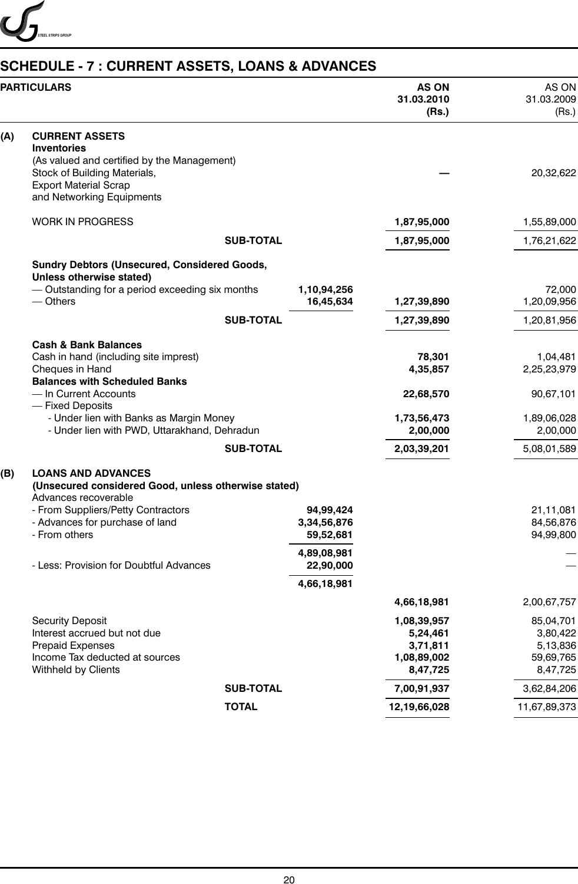

# **SCHEDULE - 7 : CURRENT ASSETS, LOANS & ADVANCES**

|     | <b>PARTICULARS</b>                                                                                                                   |                  |                                       | <b>AS ON</b><br>31.03.2010<br>(Rs.)                            | AS ON<br>31.03.2009<br>(Rs.)                               |
|-----|--------------------------------------------------------------------------------------------------------------------------------------|------------------|---------------------------------------|----------------------------------------------------------------|------------------------------------------------------------|
| (A) | <b>CURRENT ASSETS</b><br><b>Inventories</b>                                                                                          |                  |                                       |                                                                |                                                            |
|     | (As valued and certified by the Management)<br>Stock of Building Materials,<br><b>Export Material Scrap</b>                          |                  |                                       |                                                                | 20,32,622                                                  |
|     | and Networking Equipments                                                                                                            |                  |                                       |                                                                |                                                            |
|     | <b>WORK IN PROGRESS</b>                                                                                                              |                  |                                       | 1,87,95,000                                                    | 1,55,89,000                                                |
|     |                                                                                                                                      | <b>SUB-TOTAL</b> |                                       | 1,87,95,000                                                    | 1,76,21,622                                                |
|     | <b>Sundry Debtors (Unsecured, Considered Goods,</b><br>Unless otherwise stated)                                                      |                  |                                       |                                                                |                                                            |
|     | - Outstanding for a period exceeding six months<br>$-$ Others                                                                        |                  | 1,10,94,256<br>16,45,634              | 1,27,39,890                                                    | 72,000<br>1,20,09,956                                      |
|     |                                                                                                                                      | <b>SUB-TOTAL</b> |                                       | 1,27,39,890                                                    | 1,20,81,956                                                |
|     | <b>Cash &amp; Bank Balances</b>                                                                                                      |                  |                                       |                                                                |                                                            |
|     | Cash in hand (including site imprest)<br>Cheques in Hand<br><b>Balances with Scheduled Banks</b>                                     |                  |                                       | 78,301<br>4,35,857                                             | 1,04,481<br>2,25,23,979                                    |
|     | - In Current Accounts<br>- Fixed Deposits                                                                                            |                  |                                       | 22,68,570                                                      | 90,67,101                                                  |
|     | - Under lien with Banks as Margin Money<br>- Under lien with PWD, Uttarakhand, Dehradun                                              |                  |                                       | 1,73,56,473<br>2,00,000                                        | 1,89,06,028<br>2,00,000                                    |
|     |                                                                                                                                      | <b>SUB-TOTAL</b> |                                       | 2,03,39,201                                                    | 5,08,01,589                                                |
| (B) | <b>LOANS AND ADVANCES</b><br>(Unsecured considered Good, unless otherwise stated)<br>Advances recoverable                            |                  |                                       |                                                                |                                                            |
|     | - From Suppliers/Petty Contractors<br>- Advances for purchase of land<br>- From others                                               |                  | 94,99,424<br>3,34,56,876<br>59,52,681 |                                                                | 21,11,081<br>84,56,876<br>94,99,800                        |
|     | - Less: Provision for Doubtful Advances                                                                                              |                  | 4,89,08,981<br>22,90,000              |                                                                |                                                            |
|     |                                                                                                                                      |                  | 4,66,18,981                           |                                                                |                                                            |
|     |                                                                                                                                      |                  |                                       | 4,66,18,981                                                    | 2,00,67,757                                                |
|     | <b>Security Deposit</b><br>Interest accrued but not due<br>Prepaid Expenses<br>Income Tax deducted at sources<br>Withheld by Clients |                  |                                       | 1,08,39,957<br>5,24,461<br>3,71,811<br>1,08,89,002<br>8,47,725 | 85,04,701<br>3,80,422<br>5,13,836<br>59,69,765<br>8,47,725 |
|     |                                                                                                                                      | <b>SUB-TOTAL</b> |                                       | 7,00,91,937                                                    | 3,62,84,206                                                |
|     |                                                                                                                                      | <b>TOTAL</b>     |                                       | 12,19,66,028                                                   | 11,67,89,373                                               |
|     |                                                                                                                                      |                  |                                       |                                                                |                                                            |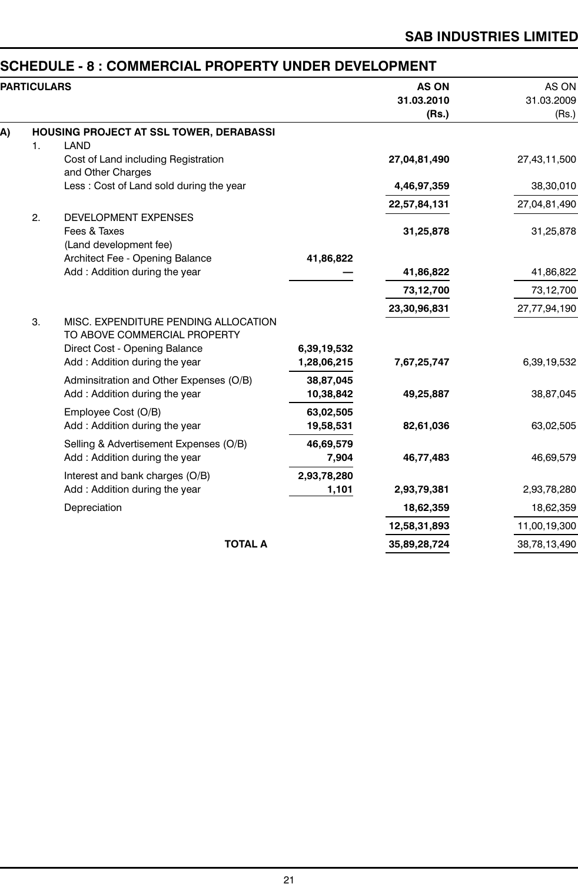# **SCHEDULE - 8 : COMMERCIAL PROPERTY UNDER DEVELOPMENT**

|    | <b>PARTICULARS</b> |                                                                                                       |                        | <b>AS ON</b><br>31.03.2010<br>(Rs.) | AS ON<br>31.03.2009<br>(Rs.) |
|----|--------------------|-------------------------------------------------------------------------------------------------------|------------------------|-------------------------------------|------------------------------|
| A) |                    | HOUSING PROJECT AT SSL TOWER, DERABASSI                                                               |                        |                                     |                              |
|    | 1.                 | <b>LAND</b>                                                                                           |                        |                                     |                              |
|    |                    | Cost of Land including Registration<br>and Other Charges                                              |                        | 27,04,81,490                        | 27,43,11,500                 |
|    |                    | Less: Cost of Land sold during the year                                                               |                        | 4,46,97,359                         | 38,30,010                    |
|    |                    |                                                                                                       |                        | 22,57,84,131                        | 27,04,81,490                 |
|    | 2.                 | <b>DEVELOPMENT EXPENSES</b><br>Fees & Taxes<br>(Land development fee)                                 |                        | 31,25,878                           | 31,25,878                    |
|    |                    | Architect Fee - Opening Balance                                                                       | 41,86,822              |                                     |                              |
|    |                    | Add: Addition during the year                                                                         |                        | 41,86,822                           | 41,86,822                    |
|    |                    |                                                                                                       |                        | 73,12,700                           | 73,12,700                    |
|    |                    |                                                                                                       |                        | 23,30,96,831                        | 27,77,94,190                 |
|    | 3.                 | MISC. EXPENDITURE PENDING ALLOCATION<br>TO ABOVE COMMERCIAL PROPERTY<br>Direct Cost - Opening Balance | 6,39,19,532            |                                     |                              |
|    |                    | Add: Addition during the year                                                                         | 1,28,06,215            | 7,67,25,747                         | 6,39,19,532                  |
|    |                    | Adminsitration and Other Expenses (O/B)<br>Add: Addition during the year                              | 38,87,045<br>10,38,842 | 49,25,887                           | 38,87,045                    |
|    |                    | Employee Cost (O/B)<br>Add: Addition during the year                                                  | 63,02,505<br>19,58,531 | 82,61,036                           | 63,02,505                    |
|    |                    | Selling & Advertisement Expenses (O/B)<br>Add: Addition during the year                               | 46,69,579<br>7,904     | 46,77,483                           | 46,69,579                    |
|    |                    | Interest and bank charges (O/B)<br>Add: Addition during the year                                      | 2,93,78,280<br>1,101   | 2,93,79,381                         | 2,93,78,280                  |
|    |                    | Depreciation                                                                                          |                        | 18,62,359                           | 18,62,359                    |
|    |                    |                                                                                                       |                        | 12,58,31,893                        | 11,00,19,300                 |
|    |                    | <b>TOTAL A</b>                                                                                        |                        | 35,89,28,724                        | 38,78,13,490                 |
|    |                    |                                                                                                       |                        |                                     |                              |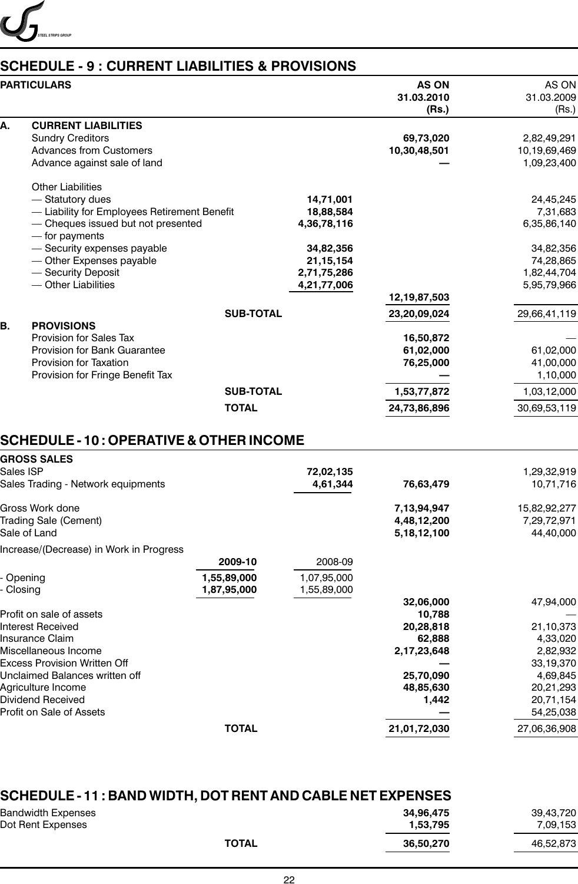

# **SCHEDULE - 9 : CURRENT LIABILITIES & PROVISIONS**

|    | <b>PARTICULARS</b>                           |                  | <b>AS ON</b><br>31.03.2010<br>(Rs.) | AS ON<br>31.03.2009<br>(Rs.) |
|----|----------------------------------------------|------------------|-------------------------------------|------------------------------|
| А. | <b>CURRENT LIABILITIES</b>                   |                  |                                     |                              |
|    | <b>Sundry Creditors</b>                      |                  | 69,73,020                           | 2,82,49,291                  |
|    | <b>Advances from Customers</b>               |                  | 10,30,48,501                        | 10,19,69,469                 |
|    | Advance against sale of land                 |                  |                                     | 1,09,23,400                  |
|    | <b>Other Liabilities</b>                     |                  |                                     |                              |
|    | - Statutory dues                             | 14,71,001        |                                     | 24,45,245                    |
|    | - Liability for Employees Retirement Benefit | 18,88,584        |                                     | 7,31,683                     |
|    | - Cheques issued but not presented           | 4,36,78,116      |                                     | 6,35,86,140                  |
|    | - for payments                               |                  |                                     |                              |
|    | - Security expenses payable                  | 34,82,356        |                                     | 34,82,356                    |
|    | - Other Expenses payable                     | 21, 15, 154      |                                     | 74,28,865                    |
|    | - Security Deposit                           | 2,71,75,286      |                                     | 1,82,44,704                  |
|    | - Other Liabilities                          | 4,21,77,006      |                                     | 5,95,79,966                  |
|    |                                              |                  | 12,19,87,503                        |                              |
|    |                                              | <b>SUB-TOTAL</b> | 23,20,09,024                        | 29,66,41,119                 |
| Β. | <b>PROVISIONS</b>                            |                  |                                     |                              |
|    | Provision for Sales Tax                      |                  | 16,50,872                           |                              |
|    | Provision for Bank Guarantee                 |                  | 61,02,000                           | 61,02,000                    |
|    | Provision for Taxation                       |                  | 76,25,000                           | 41,00,000                    |
|    | Provision for Fringe Benefit Tax             |                  |                                     | 1,10,000                     |
|    |                                              | <b>SUB-TOTAL</b> | 1,53,77,872                         | 1,03,12,000                  |
|    |                                              | <b>TOTAL</b>     | 24,73,86,896                        | 30,69,53,119                 |

# **SCHEDULE - 10 : OPERATIVE & OTHER INCOME**

| GROSS SALES                             |              |             |                |              |
|-----------------------------------------|--------------|-------------|----------------|--------------|
| Sales ISP                               |              | 72,02,135   |                | 1,29,32,919  |
| Sales Trading - Network equipments      |              | 4,61,344    | 76,63,479      | 10,71,716    |
| Gross Work done                         |              |             | 7,13,94,947    | 15,82,92,277 |
| Trading Sale (Cement)                   |              |             | 4,48,12,200    | 7,29,72,971  |
| Sale of Land                            |              |             | 5, 18, 12, 100 | 44,40,000    |
| Increase/(Decrease) in Work in Progress |              |             |                |              |
|                                         | 2009-10      | 2008-09     |                |              |
| Opening                                 | 1,55,89,000  | 1,07,95,000 |                |              |
| Closing                                 | 1,87,95,000  | 1,55,89,000 |                |              |
|                                         |              |             | 32,06,000      | 47,94,000    |
| Profit on sale of assets                |              |             | 10,788         |              |
| Interest Received                       |              |             | 20,28,818      | 21,10,373    |
| Insurance Claim                         |              |             | 62,888         | 4,33,020     |
| Miscellaneous Income                    |              |             | 2,17,23,648    | 2,82,932     |
| Excess Provision Written Off            |              |             |                | 33,19,370    |
| Unclaimed Balances written off          |              |             | 25,70,090      | 4,69,845     |
| Agriculture Income                      |              |             | 48,85,630      | 20,21,293    |
| Dividend Received                       |              |             | 1,442          | 20,71,154    |
| Profit on Sale of Assets                |              |             |                | 54,25,038    |
|                                         | <b>TOTAL</b> |             | 21,01,72,030   | 27,06,36,908 |
|                                         |              |             |                |              |

| <b>SCHEDULE - 11 : BAND WIDTH, DOT RENT AND CABLE NET EXPENSES</b> |                       |                       |
|--------------------------------------------------------------------|-----------------------|-----------------------|
| Bandwidth Expenses<br>Dot Rent Expenses                            | 34.96.475<br>1,53,795 | 39,43,720<br>7,09,153 |
| <b>TOTAL</b>                                                       | 36,50,270             | 46,52,873             |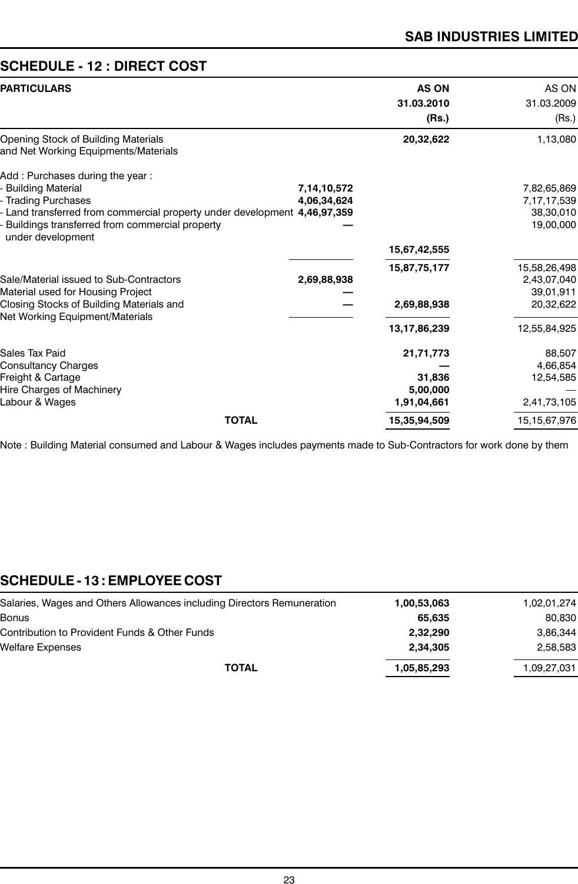# **SCHEDULE - 12 : DIRECT COST**

| <b>PARTICULARS</b>                                                                                                                                                                                                                        |                            | <b>AS ON</b><br>31.03.2010<br>(Rs.)         | AS ON<br>31.03.2009<br>(Rs.)                          |
|-------------------------------------------------------------------------------------------------------------------------------------------------------------------------------------------------------------------------------------------|----------------------------|---------------------------------------------|-------------------------------------------------------|
| Opening Stock of Building Materials<br>and Net Working Equipments/Materials                                                                                                                                                               |                            | 20,32,622                                   | 1,13,080                                              |
| Add: Purchases during the year:<br><b>Building Material</b><br><b>Trading Purchases</b><br>Land transferred from commercial property under development 4,46,97,359<br>Buildings transferred from commercial property<br>under development | 7,14,10,572<br>4,06,34,624 |                                             | 7,82,65,869<br>7,17,17,539<br>38,30,010<br>19,00,000  |
| Sale/Material issued to Sub-Contractors<br>Material used for Housing Project<br>Closing Stocks of Building Materials and<br>Net Working Equipment/Materials                                                                               | 2,69,88,938                | 15,67,42,555<br>15,87,75,177<br>2,69,88,938 | 15,58,26,498<br>2,43,07,040<br>39,01,911<br>20,32,622 |
| Sales Tax Paid                                                                                                                                                                                                                            |                            | 13,17,86,239<br>21,71,773                   | 12,55,84,925<br>88,507                                |
| <b>Consultancy Charges</b><br>Freight & Cartage<br>Hire Charges of Machinery<br>Labour & Wages                                                                                                                                            |                            | 31,836<br>5,00,000<br>1,91,04,661           | 4,66,854<br>12,54,585<br>2,41,73,105                  |
| <b>TOTAL</b>                                                                                                                                                                                                                              |                            | 15,35,94,509                                | 15, 15, 67, 976                                       |

Note : Building Material consumed and Labour & Wages includes payments made to Sub-Contractors for work done by them

# **SCHEDULE - 13 : EMPLOYEE COST**

| 80,830      |
|-------------|
|             |
| 3,86,344    |
| 2,58,583    |
| 1,09,27,031 |
|             |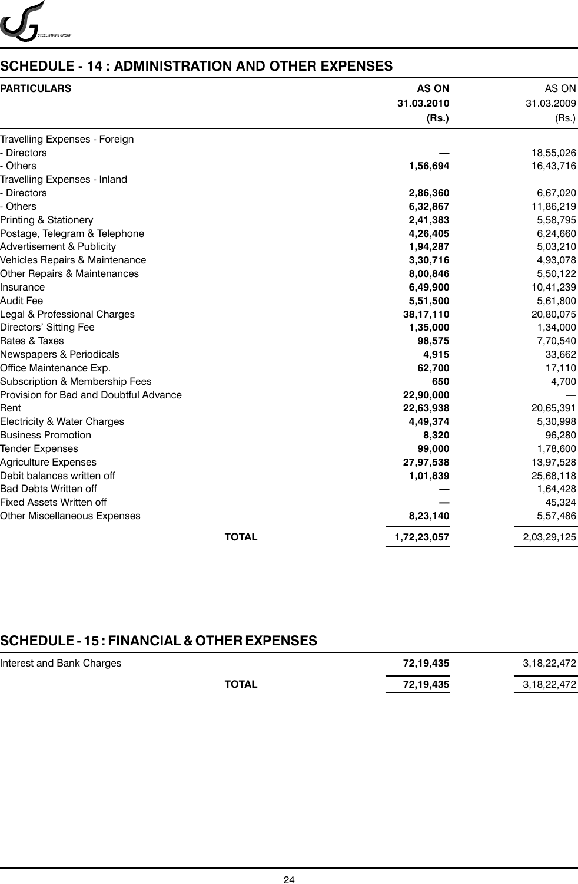

# **SCHEDULE - 14 : ADMINISTRATION AND OTHER EXPENSES**

| <b>PARTICULARS</b>                     | <b>AS ON</b><br>31.03.2010<br>(Rs.) | AS ON<br>31.03.2009<br>(Rs.) |
|----------------------------------------|-------------------------------------|------------------------------|
| Travelling Expenses - Foreign          |                                     |                              |
| <b>Directors</b>                       |                                     | 18,55,026                    |
| <b>Others</b>                          | 1,56,694                            | 16,43,716                    |
| Travelling Expenses - Inland           |                                     |                              |
| <b>Directors</b>                       | 2,86,360                            | 6,67,020                     |
| Others                                 | 6,32,867                            | 11,86,219                    |
| Printing & Stationery                  | 2,41,383                            | 5,58,795                     |
| Postage, Telegram & Telephone          | 4,26,405                            | 6,24,660                     |
| <b>Advertisement &amp; Publicity</b>   | 1,94,287                            | 5,03,210                     |
| Vehicles Repairs & Maintenance         | 3,30,716                            | 4,93,078                     |
| Other Repairs & Maintenances           | 8,00,846                            | 5,50,122                     |
| Insurance                              | 6,49,900                            | 10,41,239                    |
| Audit Fee                              | 5,51,500                            | 5,61,800                     |
| Legal & Professional Charges           | 38,17,110                           | 20,80,075                    |
| Directors' Sitting Fee                 | 1,35,000                            | 1,34,000                     |
| Rates & Taxes                          | 98,575                              | 7,70,540                     |
| Newspapers & Periodicals               | 4,915                               | 33,662                       |
| Office Maintenance Exp.                | 62,700                              | 17,110                       |
| Subscription & Membership Fees         | 650                                 | 4,700                        |
| Provision for Bad and Doubtful Advance | 22,90,000                           |                              |
| Rent                                   | 22,63,938                           | 20,65,391                    |
| Electricity & Water Charges            | 4,49,374                            | 5,30,998                     |
| <b>Business Promotion</b>              | 8,320                               | 96,280                       |
| <b>Tender Expenses</b>                 | 99,000                              | 1,78,600                     |
| <b>Agriculture Expenses</b>            | 27,97,538                           | 13,97,528                    |
| Debit balances written off             | 1,01,839                            | 25,68,118                    |
| <b>Bad Debts Written off</b>           |                                     | 1,64,428                     |
| Fixed Assets Written off               |                                     | 45,324                       |
| Other Miscellaneous Expenses           | 8,23,140                            | 5,57,486                     |
| <b>TOTAL</b>                           | 1,72,23,057                         | 2,03,29,125                  |

# **SCHEDULE - 15 : FINANCIAL & OTHER EXPENSES**

| Interest and Bank Charges |              | 72,19,435 | 3,18,22,472 |
|---------------------------|--------------|-----------|-------------|
|                           | <b>TOTAL</b> | 72,19,435 | 3,18,22,472 |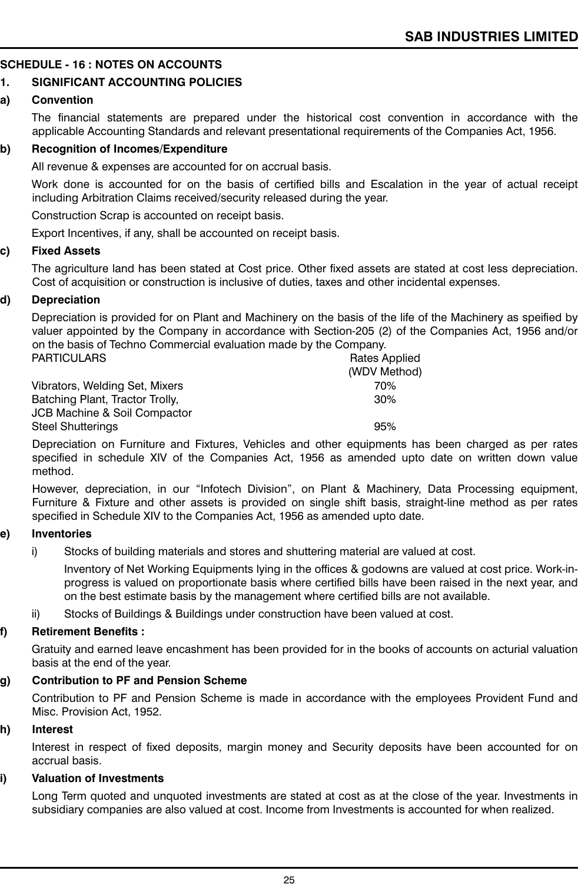#### **SCHEDULE - 16 : NOTES ON ACCOUNTS**

#### **1. SIGNIFICANT ACCOUNTING POLICIES**

#### **a) Convention**

The financial statements are prepared under the historical cost convention in accordance with the applicable Accounting Standards and relevant presentational requirements of the Companies Act, 1956.

#### **b) Recognition of Incomes/Expenditure**

All revenue & expenses are accounted for on accrual basis.

Work done is accounted for on the basis of certified bills and Escalation in the year of actual receipt including Arbitration Claims received/security released during the year.

Construction Scrap is accounted on receipt basis.

Export Incentives, if any, shall be accounted on receipt basis.

#### **c) Fixed Assets**

The agriculture land has been stated at Cost price. Other fixed assets are stated at cost less depreciation. Cost of acquisition or construction is inclusive of duties, taxes and other incidental expenses.

#### **d) Depreciation**

Depreciation is provided for on Plant and Machinery on the basis of the life of the Machinery as speified by valuer appointed by the Company in accordance with Section-205 (2) of the Companies Act, 1956 and/or on the basis of Techno Commercial evaluation made by the Company.

| <b>PARTICULARS</b>              | Rates Applied |
|---------------------------------|---------------|
|                                 | (WDV Method)  |
| Vibrators, Welding Set, Mixers  | 70%           |
| Batching Plant, Tractor Trolly, | 30%           |
| JCB Machine & Soil Compactor    |               |
| <b>Steel Shutterings</b>        | 95%           |

Depreciation on Furniture and Fixtures, Vehicles and other equipments has been charged as per rates specified in schedule XIV of the Companies Act, 1956 as amended upto date on written down value method.

However, depreciation, in our "Infotech Division", on Plant & Machinery, Data Processing equipment, Furniture & Fixture and other assets is provided on single shift basis, straight-line method as per rates specified in Schedule XIV to the Companies Act, 1956 as amended upto date.

#### **e) Inventories**

i) Stocks of building materials and stores and shuttering material are valued at cost.

Inventory of Net Working Equipments lying in the offices & godowns are valued at cost price. Work-inprogress is valued on proportionate basis where certified bills have been raised in the next year, and on the best estimate basis by the management where certified bills are not available.

ii) Stocks of Buildings & Buildings under construction have been valued at cost.

#### **f) Retirement Benefits :**

Gratuity and earned leave encashment has been provided for in the books of accounts on acturial valuation basis at the end of the year.

#### **g) Contribution to PF and Pension Scheme**

Contribution to PF and Pension Scheme is made in accordance with the employees Provident Fund and Misc. Provision Act, 1952.

#### **h) Interest**

Interest in respect of fixed deposits, margin money and Security deposits have been accounted for on accrual basis.

#### **i) Valuation of Investments**

Long Term quoted and unquoted investments are stated at cost as at the close of the year. Investments in subsidiary companies are also valued at cost. Income from Investments is accounted for when realized.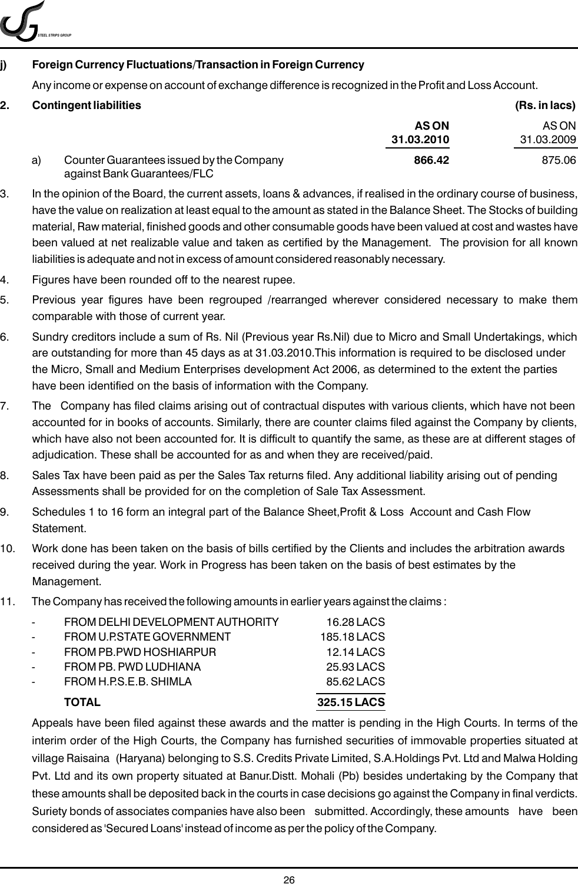

#### **j) Foreign Currency Fluctuations/Transaction in Foreign Currency**

Any income or expense on account of exchange difference is recognized in the Profit and Loss Account.

#### **2. Contingent liabilities (Rs. in lacs)**

|    |                                                                         | 1.011110001  |            |  |
|----|-------------------------------------------------------------------------|--------------|------------|--|
|    |                                                                         | <b>AS ON</b> | AS ON      |  |
|    |                                                                         | 31.03.2010   | 31.03.2009 |  |
| a) | Counter Guarantees issued by the Company<br>against Bank Guarantees/FLC | 866.42       | 875.06     |  |

- 3. In the opinion of the Board, the current assets, loans & advances, if realised in the ordinary course of business, have the value on realization at least equal to the amount as stated in the Balance Sheet. The Stocks of building material, Raw material, finished goods and other consumable goods have been valued at cost and wastes have been valued at net realizable value and taken as certified by the Management. The provision for all known liabilities is adequate and not in excess of amount considered reasonably necessary.
- 4. Figures have been rounded off to the nearest rupee.
- 5. Previous year figures have been regrouped /rearranged wherever considered necessary to make them comparable with those of current year.
- 6. Sundry creditors include a sum of Rs. Nil (Previous year Rs.Nil) due to Micro and Small Undertakings, which are outstanding for more than 45 days as at 31.03.2010.This information is required to be disclosed under the Micro, Small and Medium Enterprises development Act 2006, as determined to the extent the parties have been identified on the basis of information with the Company.
- 7. The Company has filed claims arising out of contractual disputes with various clients, which have not been accounted for in books of accounts. Similarly, there are counter claims filed against the Company by clients, which have also not been accounted for. It is difficult to quantify the same, as these are at different stages of adjudication. These shall be accounted for as and when they are received/paid.
- 8. Sales Tax have been paid as per the Sales Tax returns filed. Any additional liability arising out of pending Assessments shall be provided for on the completion of Sale Tax Assessment.
- 9. Schedules 1 to 16 form an integral part of the Balance Sheet,Profit & Loss Account and Cash Flow **Statement**
- 10. Work done has been taken on the basis of bills certified by the Clients and includes the arbitration awards received during the year. Work in Progress has been taken on the basis of best estimates by the Management.
- 11. The Company has received the following amounts in earlier years against the claims :

|   | <b>TOTAL</b>                     | 325.15 LACS |
|---|----------------------------------|-------------|
|   | FROM H.P.S.E.B. SHIMLA           | 85.62 LACS  |
| - | FROM PB. PWD LUDHIANA            | 25.93 LACS  |
|   | FROM PB. PWD HOSHIARPUR          | 12.14 LACS  |
|   | FROM U.P.STATE GOVERNMENT        | 185.18 LACS |
| - | FROM DELHI DEVELOPMENT AUTHORITY | 16.28 LACS  |

Appeals have been filed against these awards and the matter is pending in the High Courts. In terms of the interim order of the High Courts, the Company has furnished securities of immovable properties situated at village Raisaina (Haryana) belonging to S.S. Credits Private Limited, S.A.Holdings Pvt. Ltd and Malwa Holding Pvt. Ltd and its own property situated at Banur.Distt. Mohali (Pb) besides undertaking by the Company that these amounts shall be deposited back in the courts in case decisions go against the Company in final verdicts. Suriety bonds of associates companies have also been submitted. Accordingly, these amounts have been considered as 'Secured Loans' instead of income as per the policy of the Company.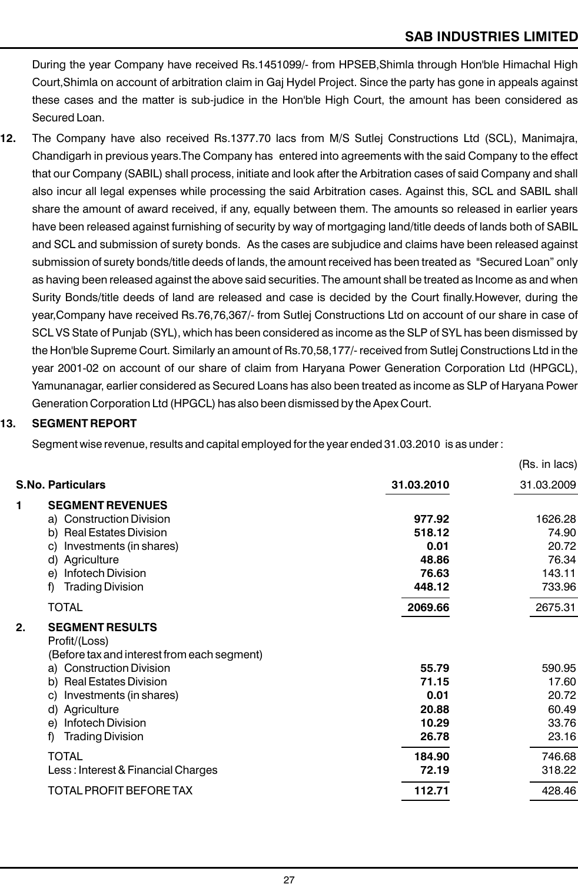$(Dc \text{ in } loop)$ 

During the year Company have received Rs.1451099/- from HPSEB,Shimla through Hon'ble Himachal High Court,Shimla on account of arbitration claim in Gaj Hydel Project. Since the party has gone in appeals against these cases and the matter is sub-judice in the Hon'ble High Court, the amount has been considered as Secured Loan.

**12.** The Company have also received Rs.1377.70 lacs from M/S Sutlej Constructions Ltd (SCL), Manimajra, Chandigarh in previous years.The Company has entered into agreements with the said Company to the effect that our Company (SABIL) shall process, initiate and look after the Arbitration cases of said Company and shall also incur all legal expenses while processing the said Arbitration cases. Against this, SCL and SABIL shall share the amount of award received, if any, equally between them. The amounts so released in earlier years have been released against furnishing of security by way of mortgaging land/title deeds of lands both of SABIL and SCL and submission of surety bonds. As the cases are subjudice and claims have been released against submission of surety bonds/title deeds of lands, the amount received has been treated as "Secured Loan" only as having been released against the above said securities. The amount shall be treated as Income as and when Surity Bonds/title deeds of land are released and case is decided by the Court finally.However, during the year,Company have received Rs.76,76,367/- from Sutlej Constructions Ltd on account of our share in case of SCL VS State of Punjab (SYL), which has been considered as income as the SLP of SYL has been dismissed by the Hon'ble Supreme Court. Similarly an amount of Rs.70,58,177/- received from Sutlej Constructions Ltd in the year 2001-02 on account of our share of claim from Haryana Power Generation Corporation Ltd (HPGCL), Yamunanagar, earlier considered as Secured Loans has also been treated as income as SLP of Haryana Power Generation Corporation Ltd (HPGCL) has also been dismissed by the Apex Court.

#### **13. SEGMENT REPORT**

Segment wise revenue, results and capital employed for the year ended 31.03.2010 is as under :

|    |                                                                                        |            | (113.1111003) |
|----|----------------------------------------------------------------------------------------|------------|---------------|
|    | <b>S.No. Particulars</b>                                                               | 31.03.2010 | 31.03.2009    |
| 1  | <b>SEGMENT REVENUES</b>                                                                |            |               |
|    | a) Construction Division                                                               | 977.92     | 1626.28       |
|    | b) Real Estates Division                                                               | 518.12     | 74.90         |
|    | Investments (in shares)<br>C)                                                          | 0.01       | 20.72         |
|    | Agriculture<br>d)                                                                      | 48.86      | 76.34         |
|    | <b>Infotech Division</b><br>e)                                                         | 76.63      | 143.11        |
|    | <b>Trading Division</b><br>f)                                                          | 448.12     | 733.96        |
|    | <b>TOTAL</b>                                                                           | 2069.66    | 2675.31       |
| 2. | <b>SEGMENT RESULTS</b><br>Profit/(Loss)<br>(Before tax and interest from each segment) |            |               |
|    | a) Construction Division                                                               | 55.79      | 590.95        |
|    | <b>Real Estates Division</b><br>b)                                                     | 71.15      | 17.60         |
|    | Investments (in shares)<br>C)                                                          | 0.01       | 20.72         |
|    | Agriculture<br>d)                                                                      | 20.88      | 60.49         |
|    | <b>Infotech Division</b><br>e)                                                         | 10.29      | 33.76         |
|    | f)<br><b>Trading Division</b>                                                          | 26.78      | 23.16         |
|    | <b>TOTAL</b>                                                                           | 184.90     | 746.68        |
|    | Less: Interest & Financial Charges                                                     | 72.19      | 318.22        |
|    | TOTAL PROFIT BEFORE TAX                                                                | 112.71     | 428.46        |
|    |                                                                                        |            |               |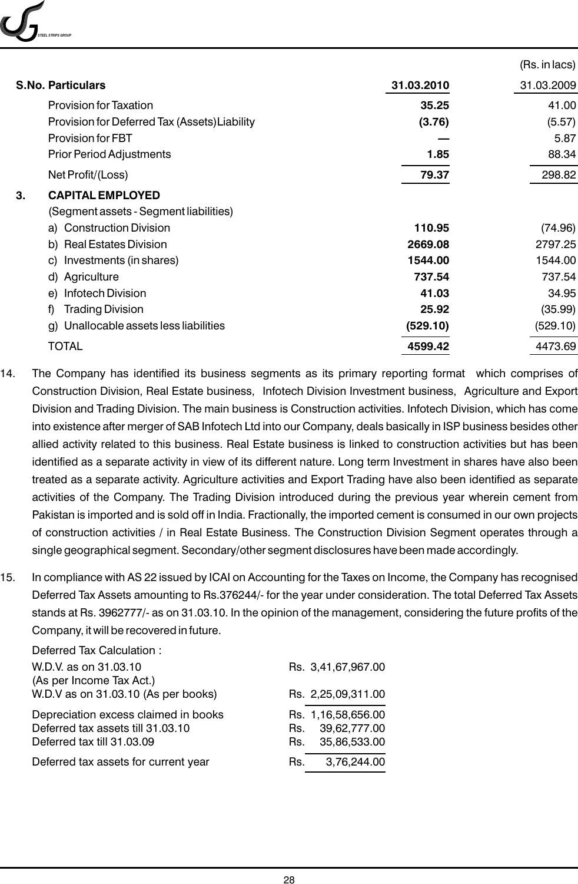*STEEL STRIPS GROUP*

|                                               |            | (Rs. in lacs) |
|-----------------------------------------------|------------|---------------|
| <b>S.No. Particulars</b>                      | 31.03.2010 | 31.03.2009    |
| <b>Provision for Taxation</b>                 | 35.25      | 41.00         |
| Provision for Deferred Tax (Assets) Liability | (3.76)     | (5.57)        |
| <b>Provision for FBT</b>                      |            | 5.87          |
| <b>Prior Period Adjustments</b>               | 1.85       | 88.34         |
| Net Profit/(Loss)                             | 79.37      | 298.82        |
| <b>CAPITAL EMPLOYED</b><br>3.                 |            |               |
| (Segment assets - Segment liabilities)        |            |               |
| a) Construction Division                      | 110.95     | (74.96)       |
| b) Real Estates Division                      | 2669.08    | 2797.25       |
| Investments (in shares)<br>C)                 | 1544.00    | 1544.00       |
| d) Agriculture                                | 737.54     | 737.54        |
| e) Infotech Division                          | 41.03      | 34.95         |
| <b>Trading Division</b><br>f)                 | 25.92      | (35.99)       |
| Unallocable assets less liabilities<br>g)     | (529.10)   | (529.10)      |
| TOTAL                                         | 4599.42    | 4473.69       |

- 14. The Company has identified its business segments as its primary reporting format which comprises of Construction Division, Real Estate business, Infotech Division Investment business, Agriculture and Export Division and Trading Division. The main business is Construction activities. Infotech Division, which has come into existence after merger of SAB Infotech Ltd into our Company, deals basically in ISP business besides other allied activity related to this business. Real Estate business is linked to construction activities but has been identified as a separate activity in view of its different nature. Long term Investment in shares have also been treated as a separate activity. Agriculture activities and Export Trading have also been identified as separate activities of the Company. The Trading Division introduced during the previous year wherein cement from Pakistan is imported and is sold off in India. Fractionally, the imported cement is consumed in our own projects of construction activities / in Real Estate Business. The Construction Division Segment operates through a single geographical segment. Secondary/other segment disclosures have been made accordingly.
- 15. In compliance with AS 22 issued by ICAI on Accounting for the Taxes on Income, the Company has recognised Deferred Tax Assets amounting to Rs.376244/- for the year under consideration. The total Deferred Tax Assets stands at Rs. 3962777/- as on 31.03.10. In the opinion of the management, considering the future profits of the Company, it will be recovered in future.

| Deferred Tax Calculation :           |     |                    |
|--------------------------------------|-----|--------------------|
| W.D.V. as on 31.03.10                |     | Rs. 3,41,67,967.00 |
| (As per Income Tax Act.)             |     |                    |
| W.D.V as on 31.03.10 (As per books)  |     | Rs. 2,25,09,311.00 |
| Depreciation excess claimed in books |     | Rs. 1,16,58,656.00 |
| Deferred tax assets till 31.03.10    | Rs. | 39,62,777.00       |
| Deferred tax till 31.03.09           | Rs. | 35,86,533.00       |
| Deferred tax assets for current year | Rs. | 3,76,244.00        |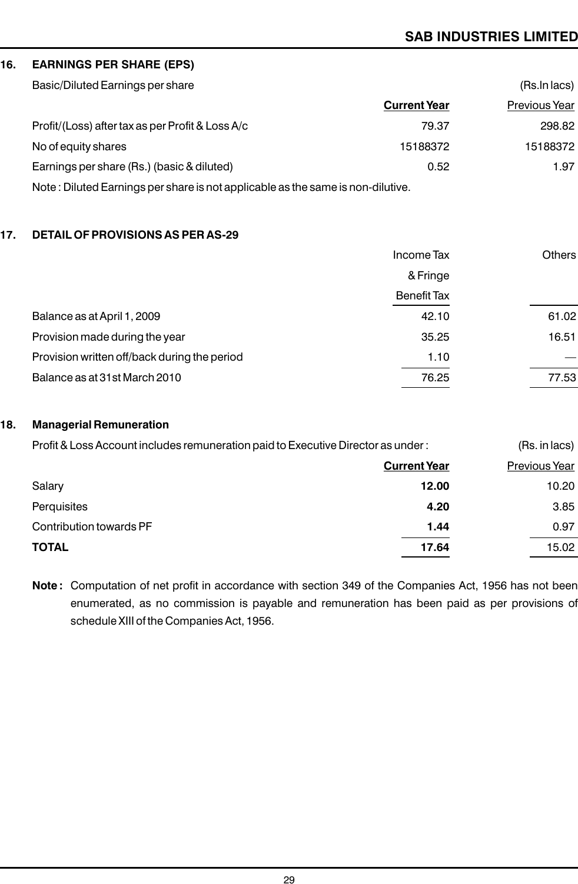#### **16. EARNINGS PER SHARE (EPS)**

| Basic/Diluted Earnings per share                 |                     | (Rs. In lacs) |
|--------------------------------------------------|---------------------|---------------|
|                                                  | <b>Current Year</b> | Previous Year |
| Profit/(Loss) after tax as per Profit & Loss A/c | 79.37               | 298.82        |
| No of equity shares                              | 15188372            | 15188372      |
| Earnings per share (Rs.) (basic & diluted)       | 0.52                | 1.97          |
|                                                  |                     |               |

Note : Diluted Earnings per share is not applicable as the same is non-dilutive.

#### **17. DETAIL OF PROVISIONS AS PER AS-29**

|                                              | Income Tax         | Others |
|----------------------------------------------|--------------------|--------|
|                                              | & Fringe           |        |
|                                              | <b>Benefit Tax</b> |        |
| Balance as at April 1, 2009                  | 42.10              | 61.02  |
| Provision made during the year               | 35.25              | 16.51  |
| Provision written off/back during the period | 1.10               |        |
| Balance as at 31st March 2010                | 76.25              | 77.53  |
|                                              |                    |        |

#### **18. Managerial Remuneration**

| Profit & Loss Account includes remuneration paid to Executive Director as under: |                     | (Rs. in lacs) |
|----------------------------------------------------------------------------------|---------------------|---------------|
|                                                                                  | <b>Current Year</b> | Previous Year |
| Salary                                                                           | 12.00               | 10.20         |
| Perquisites                                                                      | 4.20                | 3.85          |
| Contribution towards PF                                                          | 1.44                | 0.97          |
| <b>TOTAL</b>                                                                     | 17.64               | 15.02         |

**Note :** Computation of net profit in accordance with section 349 of the Companies Act, 1956 has not been enumerated, as no commission is payable and remuneration has been paid as per provisions of schedule XIII of the Companies Act, 1956.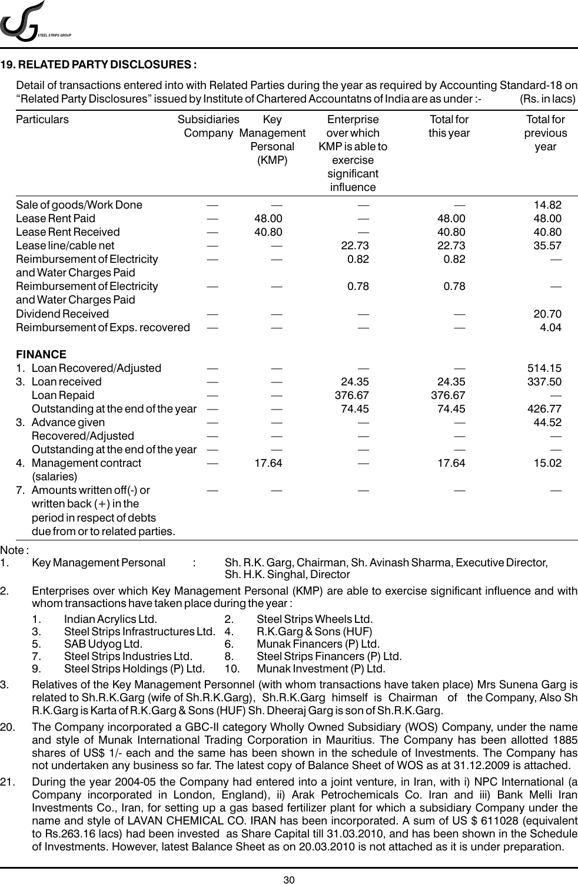*STEEL STRIPS GROUP*

#### **19. RELATED PARTY DISCLOSURES :**

Detail of transactions entered into with Related Parties during the year as required by Accounting Standard-18 on "Related Party Disclosures" issued by Institute of Chartered Accountatns of India are as under :- (Rs. in lacs)

| Particulars                                                                                                                                                                                                                                                                                                                                                                                                                          | Subsidiaries   | Key<br>Company Management<br>Personal<br>(KMP) | Enterprise<br>over which<br>KMP is able to<br>exercise<br>significant<br>influence                                | <b>Total for</b><br>this year                                    | <b>Total for</b><br>previous<br>year |
|--------------------------------------------------------------------------------------------------------------------------------------------------------------------------------------------------------------------------------------------------------------------------------------------------------------------------------------------------------------------------------------------------------------------------------------|----------------|------------------------------------------------|-------------------------------------------------------------------------------------------------------------------|------------------------------------------------------------------|--------------------------------------|
| Sale of goods/Work Done                                                                                                                                                                                                                                                                                                                                                                                                              |                |                                                |                                                                                                                   |                                                                  | 14.82                                |
| Lease Rent Paid                                                                                                                                                                                                                                                                                                                                                                                                                      |                | 48.00                                          |                                                                                                                   | 48.00                                                            | 48.00                                |
| Lease Rent Received                                                                                                                                                                                                                                                                                                                                                                                                                  |                | 40.80                                          |                                                                                                                   | 40.80                                                            | 40.80                                |
| Lease line/cable net                                                                                                                                                                                                                                                                                                                                                                                                                 |                |                                                | 22.73                                                                                                             | 22.73                                                            | 35.57                                |
| Reimbursement of Electricity<br>and Water Charges Paid                                                                                                                                                                                                                                                                                                                                                                               |                |                                                | 0.82                                                                                                              | 0.82                                                             |                                      |
| Reimbursement of Electricity<br>and Water Charges Paid                                                                                                                                                                                                                                                                                                                                                                               |                |                                                | 0.78                                                                                                              | 0.78                                                             |                                      |
| <b>Dividend Received</b>                                                                                                                                                                                                                                                                                                                                                                                                             |                |                                                |                                                                                                                   |                                                                  | 20.70                                |
| Reimbursement of Exps. recovered                                                                                                                                                                                                                                                                                                                                                                                                     |                |                                                |                                                                                                                   |                                                                  | 4.04                                 |
| <b>FINANCE</b>                                                                                                                                                                                                                                                                                                                                                                                                                       |                |                                                |                                                                                                                   |                                                                  |                                      |
| 1. Loan Recovered/Adjusted                                                                                                                                                                                                                                                                                                                                                                                                           |                |                                                |                                                                                                                   |                                                                  | 514.15                               |
| 3. Loan received                                                                                                                                                                                                                                                                                                                                                                                                                     |                |                                                | 24.35                                                                                                             | 24.35                                                            | 337.50                               |
| Loan Repaid                                                                                                                                                                                                                                                                                                                                                                                                                          |                |                                                | 376.67                                                                                                            | 376.67                                                           |                                      |
| Outstanding at the end of the year                                                                                                                                                                                                                                                                                                                                                                                                   |                |                                                | 74.45                                                                                                             | 74.45                                                            | 426.77                               |
| 3. Advance given                                                                                                                                                                                                                                                                                                                                                                                                                     |                |                                                |                                                                                                                   |                                                                  | 44.52                                |
| Recovered/Adjusted                                                                                                                                                                                                                                                                                                                                                                                                                   |                |                                                |                                                                                                                   |                                                                  |                                      |
| Outstanding at the end of the year                                                                                                                                                                                                                                                                                                                                                                                                   |                |                                                |                                                                                                                   |                                                                  |                                      |
| 4. Management contract<br>(salaries)                                                                                                                                                                                                                                                                                                                                                                                                 |                | 17.64                                          |                                                                                                                   | 17.64                                                            | 15.02                                |
| 7. Amounts written off(-) or                                                                                                                                                                                                                                                                                                                                                                                                         |                |                                                |                                                                                                                   |                                                                  |                                      |
| written back $(+)$ in the                                                                                                                                                                                                                                                                                                                                                                                                            |                |                                                |                                                                                                                   |                                                                  |                                      |
| period in respect of debts                                                                                                                                                                                                                                                                                                                                                                                                           |                |                                                |                                                                                                                   |                                                                  |                                      |
| due from or to related parties.                                                                                                                                                                                                                                                                                                                                                                                                      |                |                                                |                                                                                                                   |                                                                  |                                      |
| Note:                                                                                                                                                                                                                                                                                                                                                                                                                                |                |                                                |                                                                                                                   |                                                                  |                                      |
| Key Management Personal                                                                                                                                                                                                                                                                                                                                                                                                              |                | Sh. H.K. Singhal, Director                     |                                                                                                                   | Sh. R.K. Garg, Chairman, Sh. Avinash Sharma, Executive Director, |                                      |
| Enterprises over which Key Management Personal (KMP) are able to exercise significant influence and with<br>whom transactions have taken place during the year:                                                                                                                                                                                                                                                                      |                |                                                |                                                                                                                   |                                                                  |                                      |
| Indian Acrylics Ltd. 2. Steel Strips Wheels Ltd.<br>1.<br>3.<br>Steel Strips Infrastructures Ltd.<br>5.<br>SAB Udyog Ltd.<br>7.<br>Steel Strips Industries Ltd.<br>Steel Strips Holdings (P) Ltd.<br>9.                                                                                                                                                                                                                              | 4.<br>6.<br>8. | 10.                                            | R.K.Garg & Sons (HUF)<br>Munak Financers (P) Ltd.<br>Steel Strips Financers (P) Ltd.<br>Munak Investment (P) Ltd. |                                                                  |                                      |
| Relatives of the Key Management Personnel (with whom transactions have taken place) Mrs Sunena Garg is<br>related to Sh.R.K.Garg (wife of Sh.R.K.Garg), Sh.R.K.Garg himself is Chairman of the Company, Also Sh<br>R.K.Garg is Karta of R.K.Garg & Sons (HUF) Sh. Dheeraj Garg is son of Sh.R.K.Garg.                                                                                                                                |                |                                                |                                                                                                                   |                                                                  |                                      |
| The Company incorporated a GBC-II category Wholly Owned Subsidiary (WOS) Company, under the name<br>20.<br>and style of Munak International Trading Corporation in Mauritius. The Company has been allotted 1885<br>shares of US\$ 1/- each and the same has been shown in the schedule of Investments. The Company has<br>not undertaken any business so far. The latest copy of Balance Sheet of WOS as at 31.12.2009 is attached. |                |                                                |                                                                                                                   |                                                                  |                                      |
| During the year 2004-05 the Company had entered into a joint venture in Iran with i) NPC International (a                                                                                                                                                                                                                                                                                                                            |                |                                                |                                                                                                                   |                                                                  |                                      |

21. During the year 2004-05 the Company had entered into a joint venture, in Iran, with i) NPC International (a Company incorporated in London, England), ii) Arak Petrochemicals Co. Iran and iii) Bank Melli Iran Investments Co., Iran, for setting up a gas based fertilizer plant for which a subsidiary Company under the name and style of LAVAN CHEMICAL CO. IRAN has been incorporated. A sum of US \$ 611028 (equivalent to Rs.263.16 lacs) had been invested as Share Capital till 31.03.2010, and has been shown in the Schedule of Investments. However, latest Balance Sheet as on 20.03.2010 is not attached as it is under preparation.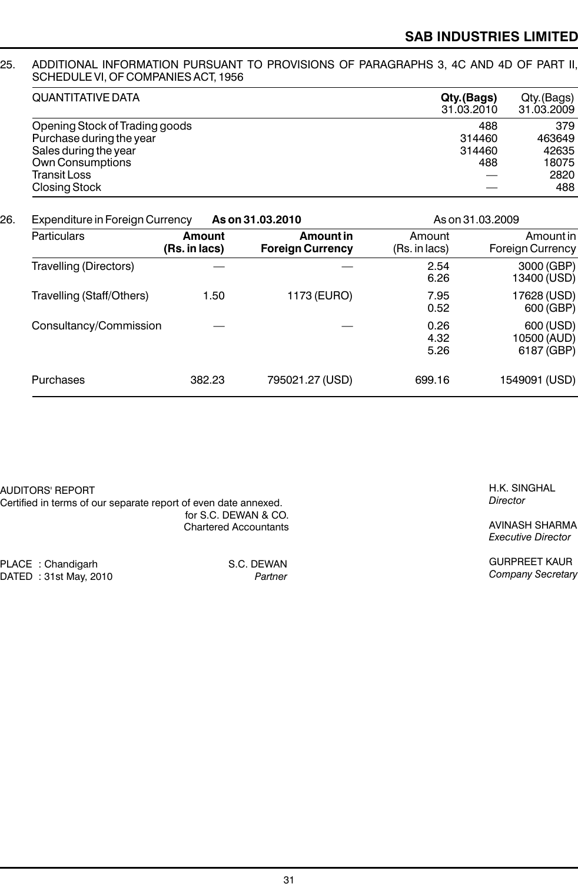#### 25. ADDITIONAL INFORMATION PURSUANT TO PROVISIONS OF PARAGRAPHS 3, 4C AND 4D OF PART II, SCHEDULE VI, OF COMPANIES ACT, 1956

| <b>QUANTITATIVE DATA</b>       | Qty.(Bags) | Qty.(Bags) |  |
|--------------------------------|------------|------------|--|
|                                | 31.03.2010 | 31.03.2009 |  |
| Opening Stock of Trading goods | 488        | 379        |  |
| Purchase during the year       | 314460     | 463649     |  |
| Sales during the year          | 314460     | 42635      |  |
| Own Consumptions               | 488        | 18075      |  |
| Transit Loss                   |            | 2820       |  |
| <b>Closing Stock</b>           |            | 488        |  |

### 26. Expenditure in Foreign Currency **As on 31.03.2010** As on 31.03.2009

| Particulars                   | Amount<br>(Rs. in lacs) | Amount in<br><b>Foreign Currency</b> | Amount<br>(Rs. in lacs) | Amount in<br><b>Foreign Currency</b>   |
|-------------------------------|-------------------------|--------------------------------------|-------------------------|----------------------------------------|
| <b>Travelling (Directors)</b> |                         |                                      | 2.54<br>6.26            | 3000 (GBP)<br>13400 (USD)              |
| Travelling (Staff/Others)     | 1.50                    | 1173 (EURO)                          | 7.95<br>0.52            | 17628 (USD)<br>600 (GBP)               |
| Consultancy/Commission        |                         |                                      | 0.26<br>4.32<br>5.26    | 600 (USD)<br>10500 (AUD)<br>6187 (GBP) |
| Purchases                     | 382.23                  | 795021.27 (USD)                      | 699.16                  | 1549091 (USD)                          |

S.C. DEWAN  $P$ artner

| AUDITORS' REPORT                                                |                              |
|-----------------------------------------------------------------|------------------------------|
| Certified in terms of our separate report of even date annexed. |                              |
|                                                                 | for S.C. DEWAN & CO.         |
|                                                                 | <b>Chartered Accountants</b> |
|                                                                 |                              |

| PLACE: Chandigarh      |
|------------------------|
| DATED : 31st May, 2010 |

H.K. SINGHAL *Director*

AVINASH SHARMA *Executive Director*

GURPREET KAUR *Company Secretary*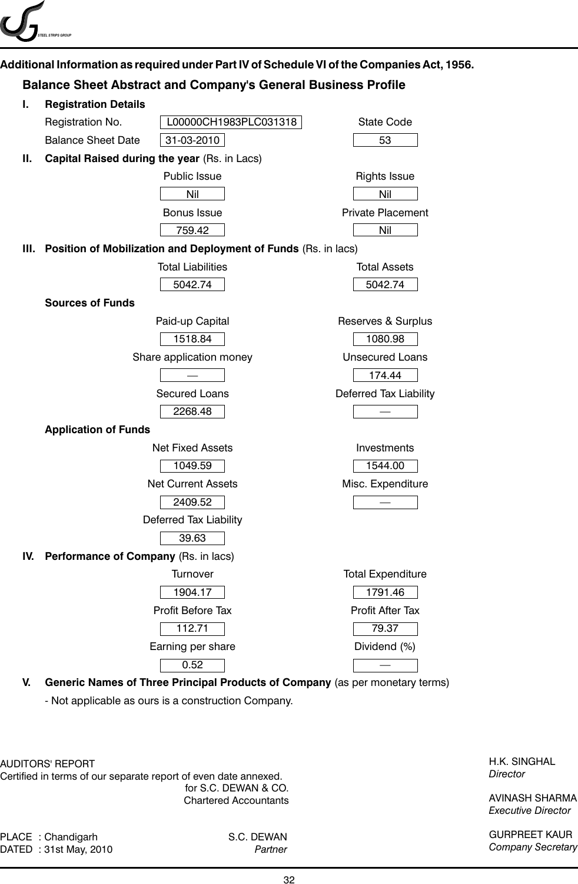

### **Additional Information as required under Part IV of Schedule VI of the Companies Act, 1956.**

### **Balance Sheet Abstract and Company's General Business Profile**



**V. Generic Names of Three Principal Products of Company** (as per monetary terms)

- Not applicable as ours is a construction Company.

AUDITORS' REPORT

Certified in terms of our separate report of even date annexed. for S.C. DEWAN & CO. Chartered Accountants

PLACE : Chandigarh S.C. DEWAN DATED : 31st May, 2010 *Partner*

H.K. SINGHAL *Director*

AVINASH SHARMA *Executive Director*

GURPREET KAUR *Company Secretary*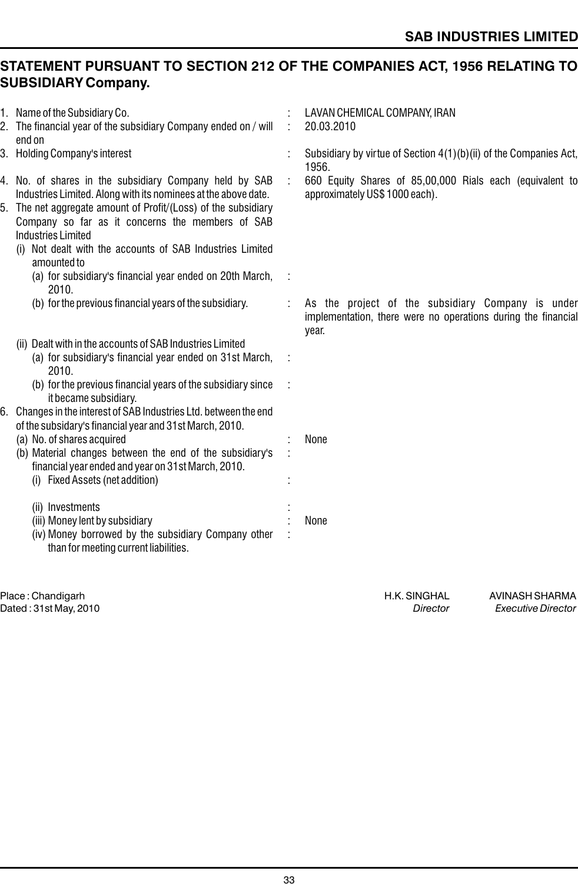## **STATEMENT PURSUANT TO SECTION 212 OF THE COMPANIES ACT, 1956 RELATING TO SUBSIDIARY Company.**

|    | 1. Name of the Subsidiary Co.<br>2. The financial year of the subsidiary Company ended on / will<br>end on                                                                                                                                                                                                                                                 | ÷ | LAVAN CHEMICAL COMPANY, IRAN<br>20.03.2010                                                                                  |
|----|------------------------------------------------------------------------------------------------------------------------------------------------------------------------------------------------------------------------------------------------------------------------------------------------------------------------------------------------------------|---|-----------------------------------------------------------------------------------------------------------------------------|
|    | 3. Holding Company's interest                                                                                                                                                                                                                                                                                                                              |   | Subsidiary by virtue of Section 4(1)(b)(ii) of the Companies Act,<br>1956.                                                  |
|    | 4. No. of shares in the subsidiary Company held by SAB<br>Industries Limited. Along with its nominees at the above date.<br>5. The net aggregate amount of Profit/(Loss) of the subsidiary<br>Company so far as it concerns the members of SAB<br><b>Industries Limited</b><br>Not dealt with the accounts of SAB Industries Limited<br>(1)<br>amounted to |   | 660 Equity Shares of 85,00,000 Rials each (equivalent to<br>approximately US\$ 1000 each).                                  |
|    | (a) for subsidiary's financial year ended on 20th March,<br>2010.                                                                                                                                                                                                                                                                                          |   |                                                                                                                             |
|    | (b) for the previous financial years of the subsidiary.                                                                                                                                                                                                                                                                                                    |   | As the project of the subsidiary Company is under<br>implementation, there were no operations during the financial<br>year. |
|    | (ii) Dealt with in the accounts of SAB Industries Limited<br>(a) for subsidiary's financial year ended on 31st March,<br>2010.<br>(b) for the previous financial years of the subsidiary since<br>it became subsidiary.                                                                                                                                    |   |                                                                                                                             |
| 6. | Changes in the interest of SAB Industries Ltd. between the end<br>of the subsidary's financial year and 31st March, 2010.<br>(a) No. of shares acquired<br>(b) Material changes between the end of the subsidiary's<br>financial year ended and year on 31st March, 2010.<br>(i) Fixed Assets (net addition)                                               |   | None                                                                                                                        |
|    | (ii) Investments<br>(iii) Money lent by subsidiary<br>(iv) Money borrowed by the subsidiary Company other<br>than for meeting current liabilities.                                                                                                                                                                                                         |   | None                                                                                                                        |
|    |                                                                                                                                                                                                                                                                                                                                                            |   |                                                                                                                             |

Place : Chandigarh **Australia and Science in Avis and Science in Avis and Science in Avis and Avis and H.K. SINGHAL**<br>Director *Executive Director Executive Director* Dated : 31st May, 2010 *Director Executive Director*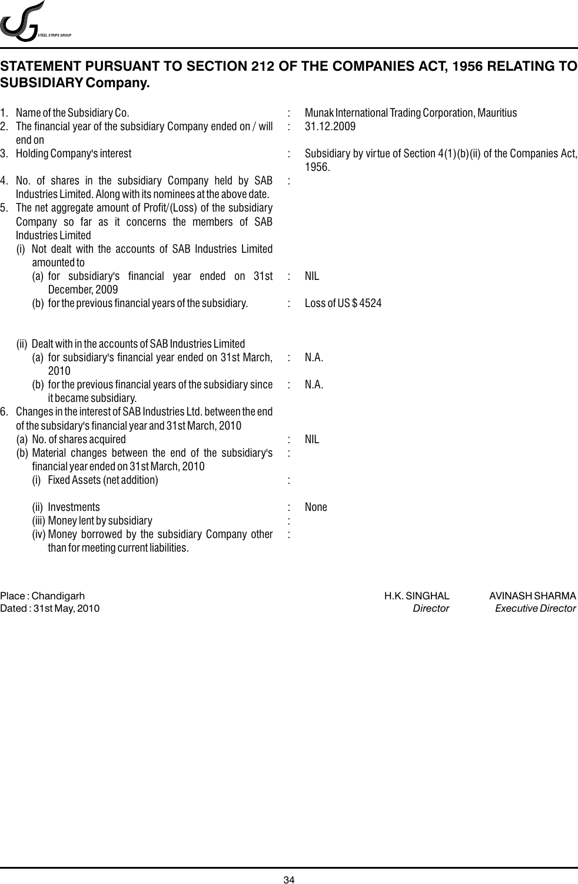

## **STATEMENT PURSUANT TO SECTION 212 OF THE COMPANIES ACT, 1956 RELATING TO SUBSIDIARY Company.**

| 1. Name of the Subsidiary Co.<br>2. The financial year of the subsidiary Company ended on / will<br>end on                                                                                                                                                                                                                                              |   | Munak International Trading Corporation, Mauritius<br>31.12.2009           |
|---------------------------------------------------------------------------------------------------------------------------------------------------------------------------------------------------------------------------------------------------------------------------------------------------------------------------------------------------------|---|----------------------------------------------------------------------------|
| 3. Holding Company's interest                                                                                                                                                                                                                                                                                                                           |   | Subsidiary by virtue of Section 4(1)(b)(ii) of the Companies Act,<br>1956. |
| 4. No. of shares in the subsidiary Company held by SAB<br>Industries Limited. Along with its nominees at the above date.<br>5. The net aggregate amount of Profit/(Loss) of the subsidiary<br>Company so far as it concerns the members of SAB<br><b>Industries Limited</b><br>(i) Not dealt with the accounts of SAB Industries Limited<br>amounted to |   |                                                                            |
| (a) for subsidiary's financial year ended on 31st<br>December, 2009                                                                                                                                                                                                                                                                                     |   | <b>NIL</b>                                                                 |
| (b) for the previous financial years of the subsidiary.                                                                                                                                                                                                                                                                                                 |   | Loss of US\$4524                                                           |
| (ii) Dealt with in the accounts of SAB Industries Limited<br>(a) for subsidiary's financial year ended on 31st March,<br>2010                                                                                                                                                                                                                           | ÷ | N.A.                                                                       |
| (b) for the previous financial years of the subsidiary since<br>it became subsidiary.<br>Changes in the interest of SAB Industries Ltd. between the end                                                                                                                                                                                                 |   | N.A.                                                                       |
| of the subsidary's financial year and 31st March, 2010<br>(a) No. of shares acquired<br>(b) Material changes between the end of the subsidiary's<br>financial year ended on 31st March, 2010<br>(i) Fixed Assets (net addition)                                                                                                                         |   | <b>NIL</b>                                                                 |
| (ii) Investments<br>(iii) Money lent by subsidiary<br>(iv) Money borrowed by the subsidiary Company other<br>than for meeting current liabilities.                                                                                                                                                                                                      |   | None                                                                       |
|                                                                                                                                                                                                                                                                                                                                                         |   |                                                                            |

example. The Hampton of H.C. SINGHAL AVINASH SHARMA<br>Director https://www.facebook.com/heaters/web/article/state/director/heaters/web/rector/heaters/web/rector/hea<br>Philosophy of H.K. SINGHAL AVINASH SHARMA Dated : 31st May, 2010 *Director Executive Director*